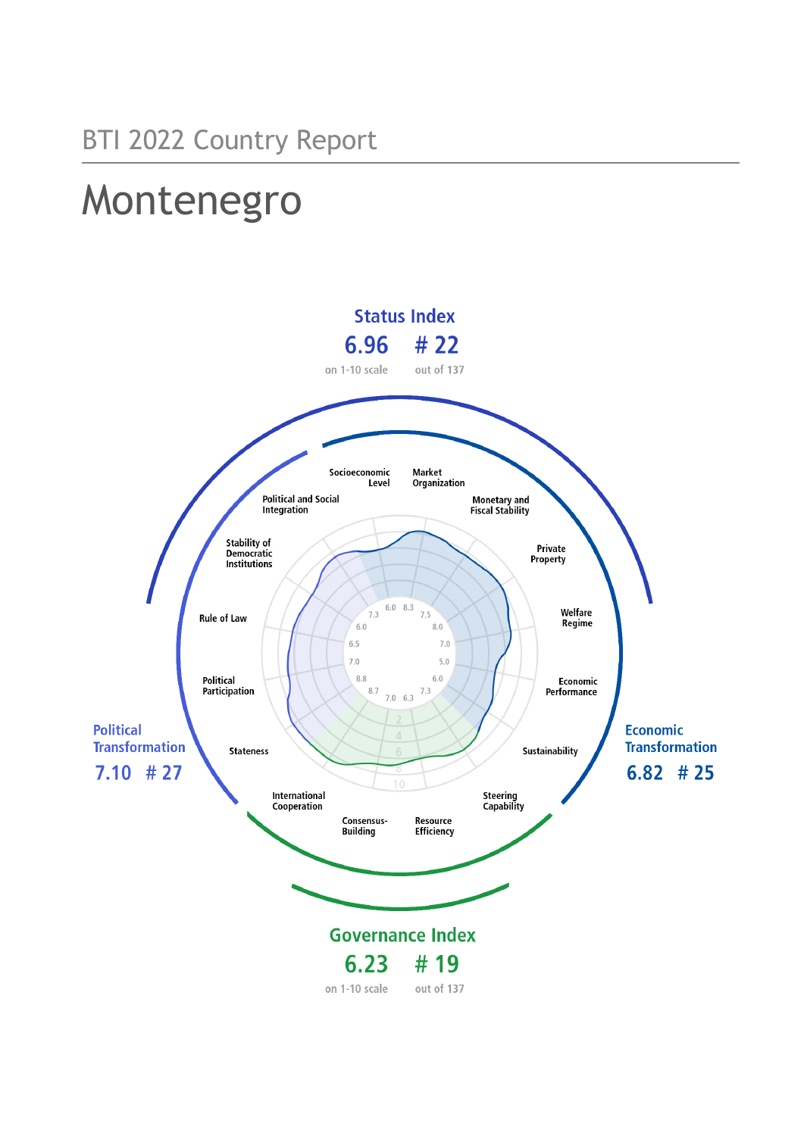# Montenegro

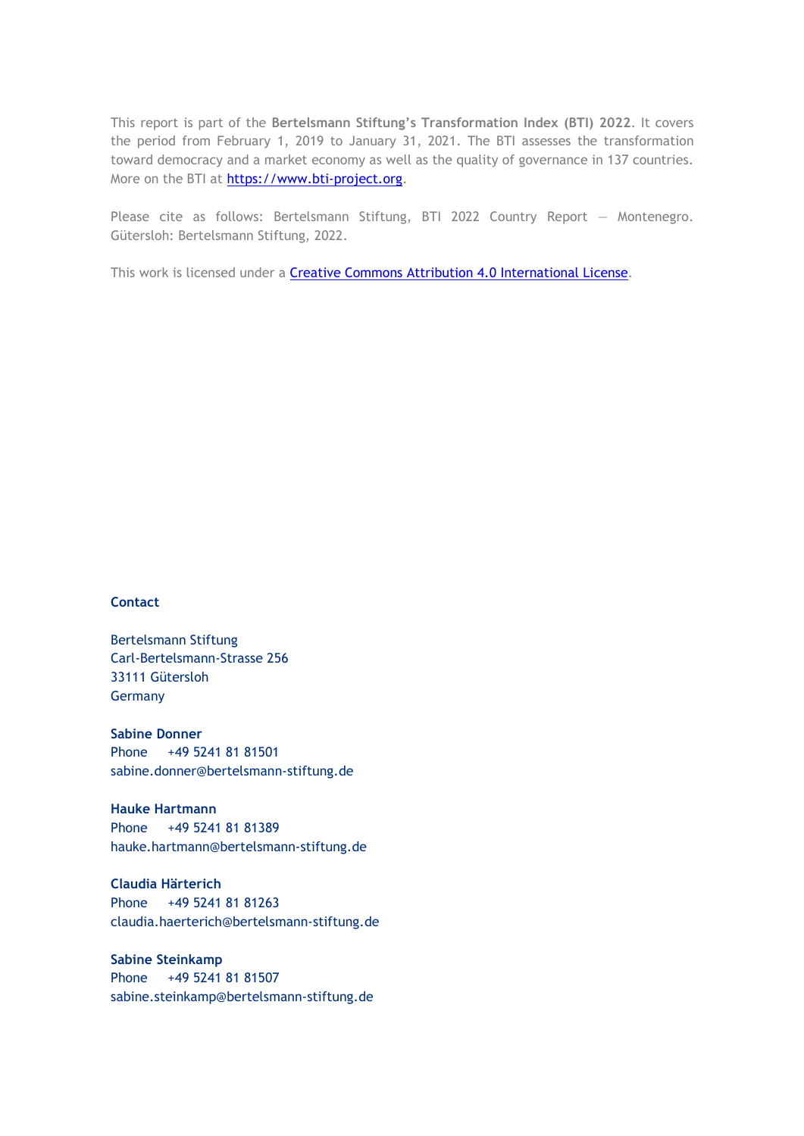This report is part of the **Bertelsmann Stiftung's Transformation Index (BTI) 2022**. It covers the period from February 1, 2019 to January 31, 2021. The BTI assesses the transformation toward democracy and a market economy as well as the quality of governance in 137 countries. More on the BTI at [https://www.bti-project.org.](https://www.bti-project.org/)

Please cite as follows: Bertelsmann Stiftung, BTI 2022 Country Report — Montenegro. Gütersloh: Bertelsmann Stiftung, 2022.

This work is licensed under a **Creative Commons Attribution 4.0 International License**.

#### **Contact**

Bertelsmann Stiftung Carl-Bertelsmann-Strasse 256 33111 Gütersloh Germany

**Sabine Donner** Phone +49 5241 81 81501 sabine.donner@bertelsmann-stiftung.de

**Hauke Hartmann** Phone +49 5241 81 81389 hauke.hartmann@bertelsmann-stiftung.de

**Claudia Härterich** Phone +49 5241 81 81263 claudia.haerterich@bertelsmann-stiftung.de

**Sabine Steinkamp** Phone +49 5241 81 81507 sabine.steinkamp@bertelsmann-stiftung.de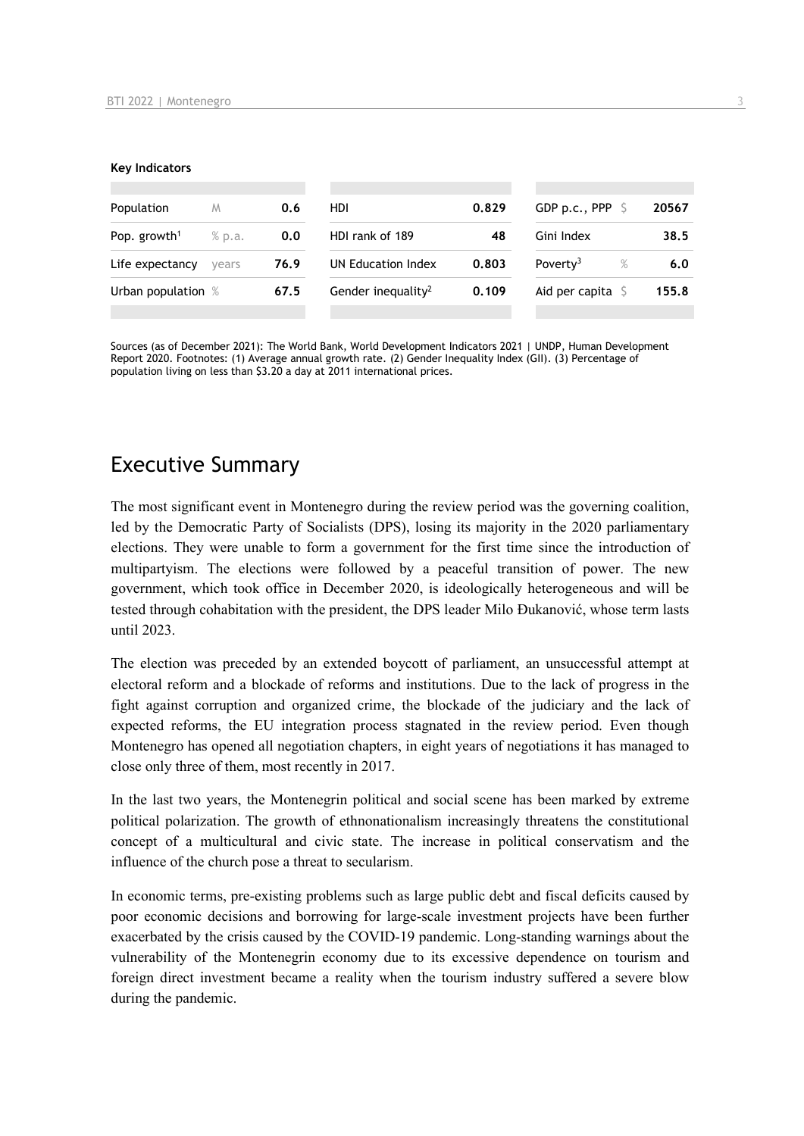#### **Key Indicators**

| Population               | M      | 0.6  | <b>HDI</b>                     | 0.829 | GDP p.c., PPP                | 20567 |
|--------------------------|--------|------|--------------------------------|-------|------------------------------|-------|
| Pop. growth <sup>1</sup> | % p.a. | 0.0  | HDI rank of 189                | 48    | Gini Index                   | 38.5  |
| Life expectancy          | vears  | 76.9 | UN Education Index             | 0.803 | Poverty <sup>3</sup><br>$\%$ | 6.0   |
| Urban population %       |        | 67.5 | Gender inequality <sup>2</sup> | 0.109 | Aid per capita               | 155.8 |
|                          |        |      |                                |       |                              |       |

Sources (as of December 2021): The World Bank, World Development Indicators 2021 | UNDP, Human Development Report 2020. Footnotes: (1) Average annual growth rate. (2) Gender Inequality Index (GII). (3) Percentage of population living on less than \$3.20 a day at 2011 international prices.

# Executive Summary

The most significant event in Montenegro during the review period was the governing coalition, led by the Democratic Party of Socialists (DPS), losing its majority in the 2020 parliamentary elections. They were unable to form a government for the first time since the introduction of multipartyism. The elections were followed by a peaceful transition of power. The new government, which took office in December 2020, is ideologically heterogeneous and will be tested through cohabitation with the president, the DPS leader Milo Đukanović, whose term lasts until 2023.

The election was preceded by an extended boycott of parliament, an unsuccessful attempt at electoral reform and a blockade of reforms and institutions. Due to the lack of progress in the fight against corruption and organized crime, the blockade of the judiciary and the lack of expected reforms, the EU integration process stagnated in the review period. Even though Montenegro has opened all negotiation chapters, in eight years of negotiations it has managed to close only three of them, most recently in 2017.

In the last two years, the Montenegrin political and social scene has been marked by extreme political polarization. The growth of ethnonationalism increasingly threatens the constitutional concept of a multicultural and civic state. The increase in political conservatism and the influence of the church pose a threat to secularism.

In economic terms, pre-existing problems such as large public debt and fiscal deficits caused by poor economic decisions and borrowing for large-scale investment projects have been further exacerbated by the crisis caused by the COVID-19 pandemic. Long-standing warnings about the vulnerability of the Montenegrin economy due to its excessive dependence on tourism and foreign direct investment became a reality when the tourism industry suffered a severe blow during the pandemic.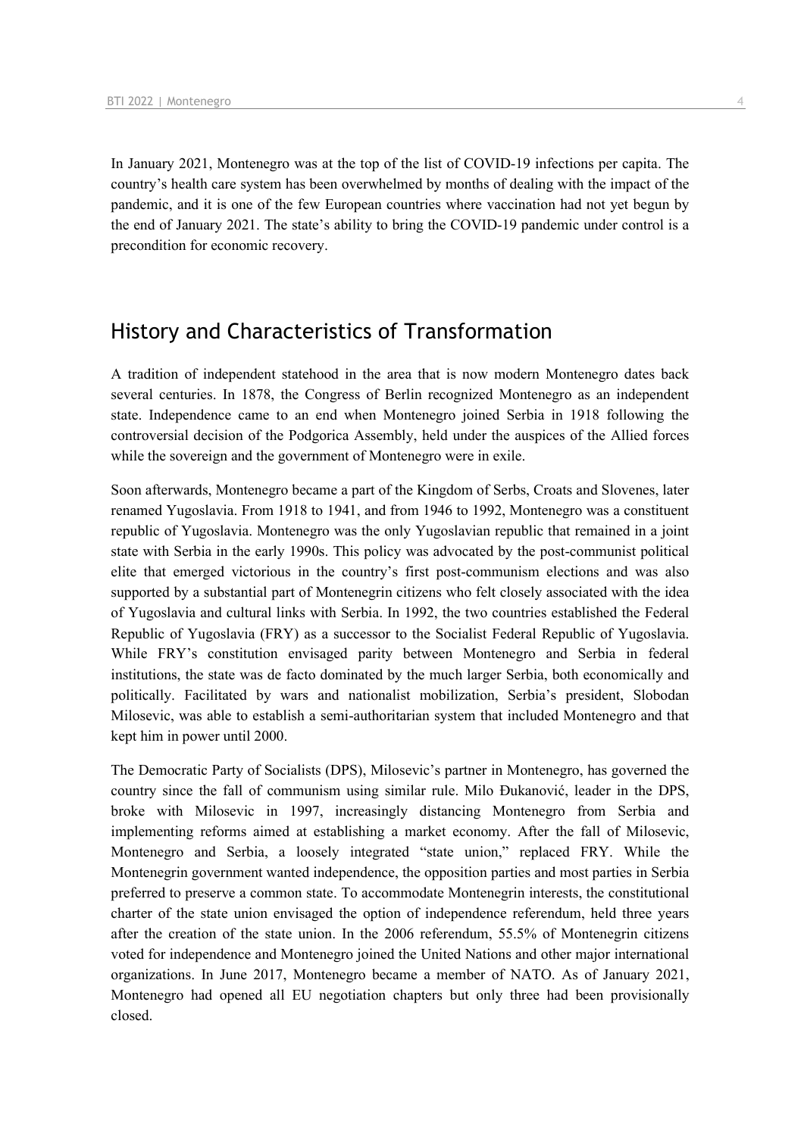In January 2021, Montenegro was at the top of the list of COVID-19 infections per capita. The country's health care system has been overwhelmed by months of dealing with the impact of the pandemic, and it is one of the few European countries where vaccination had not yet begun by the end of January 2021. The state's ability to bring the COVID-19 pandemic under control is a precondition for economic recovery.

## History and Characteristics of Transformation

A tradition of independent statehood in the area that is now modern Montenegro dates back several centuries. In 1878, the Congress of Berlin recognized Montenegro as an independent state. Independence came to an end when Montenegro joined Serbia in 1918 following the controversial decision of the Podgorica Assembly, held under the auspices of the Allied forces while the sovereign and the government of Montenegro were in exile.

Soon afterwards, Montenegro became a part of the Kingdom of Serbs, Croats and Slovenes, later renamed Yugoslavia. From 1918 to 1941, and from 1946 to 1992, Montenegro was a constituent republic of Yugoslavia. Montenegro was the only Yugoslavian republic that remained in a joint state with Serbia in the early 1990s. This policy was advocated by the post-communist political elite that emerged victorious in the country's first post-communism elections and was also supported by a substantial part of Montenegrin citizens who felt closely associated with the idea of Yugoslavia and cultural links with Serbia. In 1992, the two countries established the Federal Republic of Yugoslavia (FRY) as a successor to the Socialist Federal Republic of Yugoslavia. While FRY's constitution envisaged parity between Montenegro and Serbia in federal institutions, the state was de facto dominated by the much larger Serbia, both economically and politically. Facilitated by wars and nationalist mobilization, Serbia's president, Slobodan Milosevic, was able to establish a semi-authoritarian system that included Montenegro and that kept him in power until 2000.

The Democratic Party of Socialists (DPS), Milosevic's partner in Montenegro, has governed the country since the fall of communism using similar rule. Milo Đukanović, leader in the DPS, broke with Milosevic in 1997, increasingly distancing Montenegro from Serbia and implementing reforms aimed at establishing a market economy. After the fall of Milosevic, Montenegro and Serbia, a loosely integrated "state union," replaced FRY. While the Montenegrin government wanted independence, the opposition parties and most parties in Serbia preferred to preserve a common state. To accommodate Montenegrin interests, the constitutional charter of the state union envisaged the option of independence referendum, held three years after the creation of the state union. In the 2006 referendum, 55.5% of Montenegrin citizens voted for independence and Montenegro joined the United Nations and other major international organizations. In June 2017, Montenegro became a member of NATO. As of January 2021, Montenegro had opened all EU negotiation chapters but only three had been provisionally closed.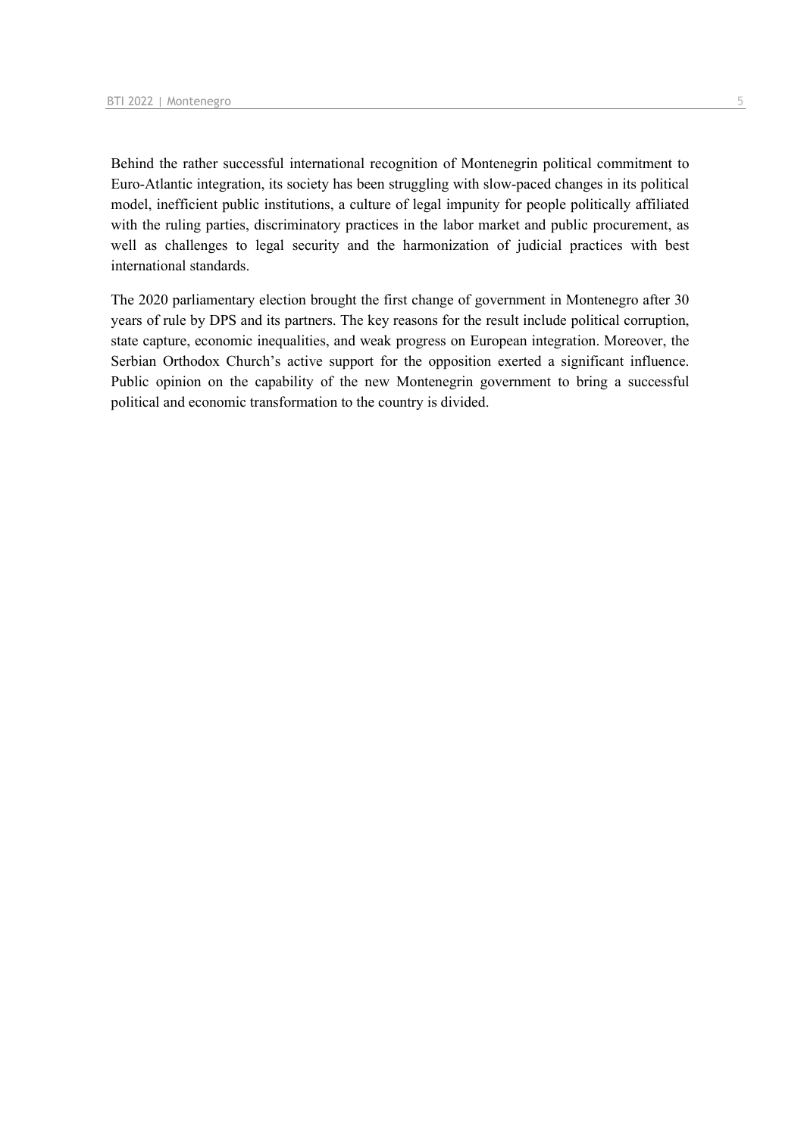Behind the rather successful international recognition of Montenegrin political commitment to Euro-Atlantic integration, its society has been struggling with slow-paced changes in its political model, inefficient public institutions, a culture of legal impunity for people politically affiliated with the ruling parties, discriminatory practices in the labor market and public procurement, as well as challenges to legal security and the harmonization of judicial practices with best international standards.

The 2020 parliamentary election brought the first change of government in Montenegro after 30 years of rule by DPS and its partners. The key reasons for the result include political corruption, state capture, economic inequalities, and weak progress on European integration. Moreover, the Serbian Orthodox Church's active support for the opposition exerted a significant influence. Public opinion on the capability of the new Montenegrin government to bring a successful political and economic transformation to the country is divided.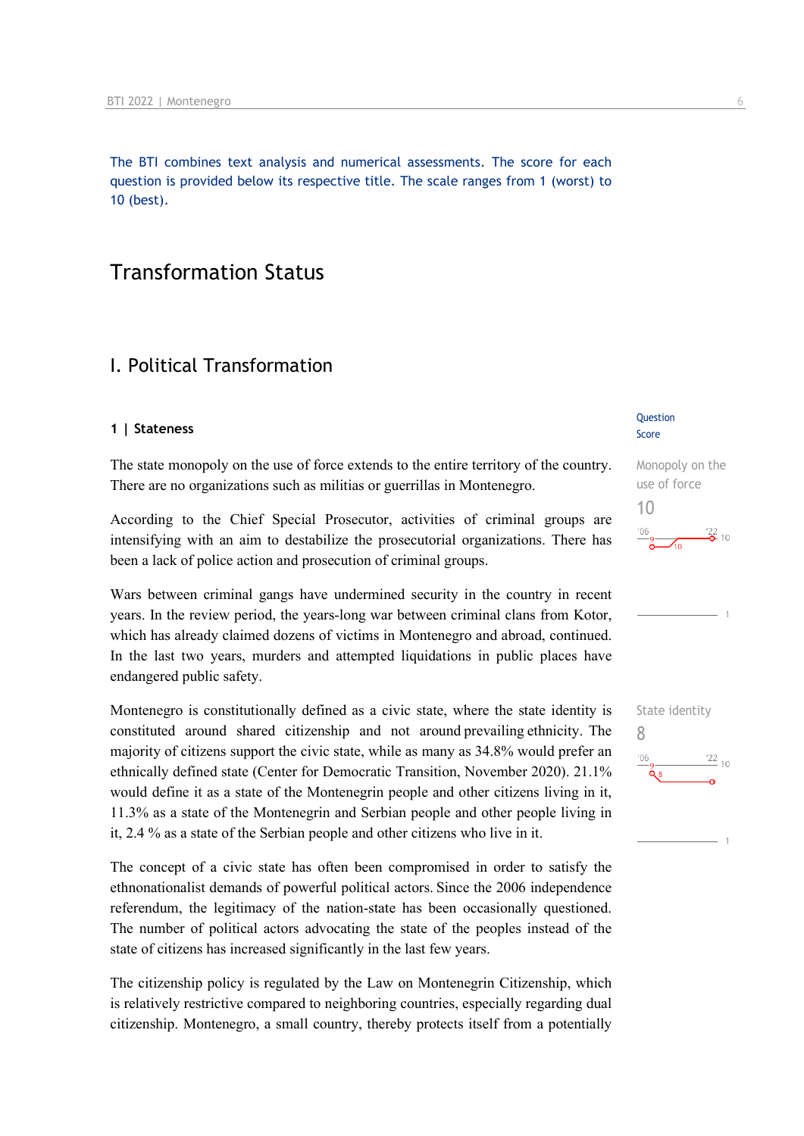The BTI combines text analysis and numerical assessments. The score for each question is provided below its respective title. The scale ranges from 1 (worst) to 10 (best).

# Transformation Status

## I. Political Transformation

#### **1 | Stateness**

The state monopoly on the use of force extends to the entire territory of the country. There are no organizations such as militias or guerrillas in Montenegro.

According to the Chief Special Prosecutor, activities of criminal groups are intensifying with an aim to destabilize the prosecutorial organizations. There has been a lack of police action and prosecution of criminal groups.

Wars between criminal gangs have undermined security in the country in recent years. In the review period, the years-long war between criminal clans from Kotor, which has already claimed dozens of victims in Montenegro and abroad, continued. In the last two years, murders and attempted liquidations in public places have endangered public safety.

Montenegro is constitutionally defined as a civic state, where the state identity is constituted around shared citizenship and not around prevailing ethnicity.  The majority of citizens support the civic state, while as many as 34.8% would prefer an ethnically defined state (Center for Democratic Transition, November 2020). 21.1% would define it as a state of the Montenegrin people and other citizens living in it, 11.3% as a state of the Montenegrin and Serbian people and other people living in it, 2.4 % as a state of the Serbian people and other citizens who live in it.

The concept of a civic state has often been compromised in order to satisfy the ethnonationalist demands of powerful political actors. Since the 2006 independence referendum, the legitimacy of the nation-state has been occasionally questioned. The number of political actors advocating the state of the peoples instead of the state of citizens has increased significantly in the last few years.

The citizenship policy is regulated by the Law on Montenegrin Citizenship, which is relatively restrictive compared to neighboring countries, especially regarding dual citizenship. Montenegro, a small country, thereby protects itself from a potentially

#### **Question** Score

Monopoly on the use of force 10  $\frac{106}{9}$   $\frac{22}{0}$  10



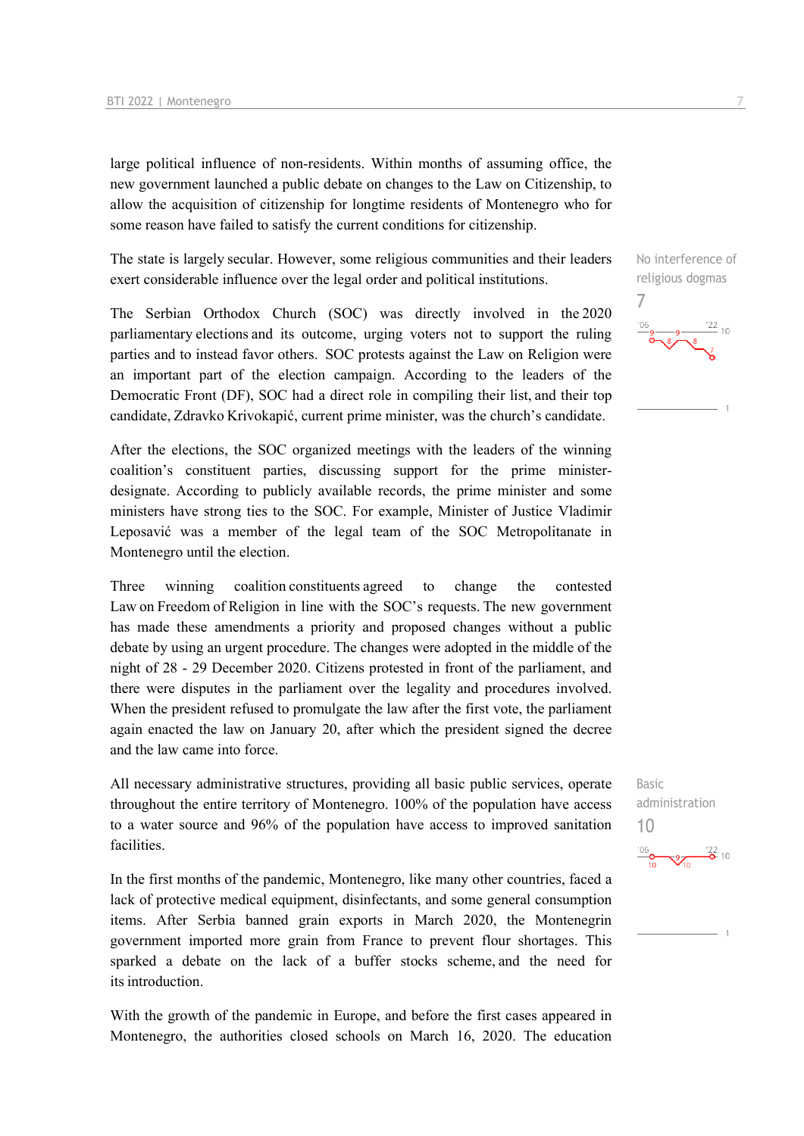large political influence of non-residents. Within months of assuming office, the new government launched a public debate on changes to the Law on Citizenship, to allow the acquisition of citizenship for longtime residents of Montenegro who for some reason have failed to satisfy the current conditions for citizenship.

The state is largely secular. However, some religious communities and their leaders exert considerable influence over the legal order and political institutions.  

The Serbian Orthodox Church (SOC) was directly involved in the 2020 parliamentary elections and its outcome, urging voters not to support the ruling parties and to instead favor others.  SOC protests against the Law on Religion were an important part of the election campaign. According to the leaders of the Democratic Front (DF), SOC had a direct role in compiling their list, and their top candidate, Zdravko Krivokapić, current prime minister, was the church's candidate.

After the elections, the SOC organized meetings with the leaders of the winning coalition's constituent parties, discussing support for the prime ministerdesignate.  According to publicly available records, the prime minister and some ministers have strong ties to the SOC. For example, Minister of Justice Vladimir Leposavić was a member of the legal team of the SOC Metropolitanate in Montenegro until the election.

Three winning coalition constituents agreed to change the contested Law on Freedom of Religion in line with the SOC's requests. The new government has made these amendments a priority and proposed changes without a public debate by using an urgent procedure. The changes were adopted in the middle of the night of 28 - 29 December 2020. Citizens protested in front of the parliament, and there were disputes in the parliament over the legality and procedures involved. When the president refused to promulgate the law after the first vote, the parliament again enacted the law on January 20, after which the president signed the decree and the law came into force.

All necessary administrative structures, providing all basic public services, operate throughout the entire territory of Montenegro. 100% of the population have access to a water source and 96% of the population have access to improved sanitation facilities. 

In the first months of the pandemic, Montenegro, like many other countries, faced a lack of protective medical equipment, disinfectants, and some general consumption items. After Serbia banned grain exports in March 2020, the Montenegrin government imported more grain from France to prevent flour shortages. This sparked a debate on the lack of a buffer stocks scheme, and the need for its introduction. 

With the growth of the pandemic in Europe, and before the first cases appeared in Montenegro, the authorities closed schools on March 16, 2020. The education

No interference of religious dogmas

7

Basic administration 10 $\frac{106}{10}$   $\frac{9}{10}$   $\frac{122}{9}$  10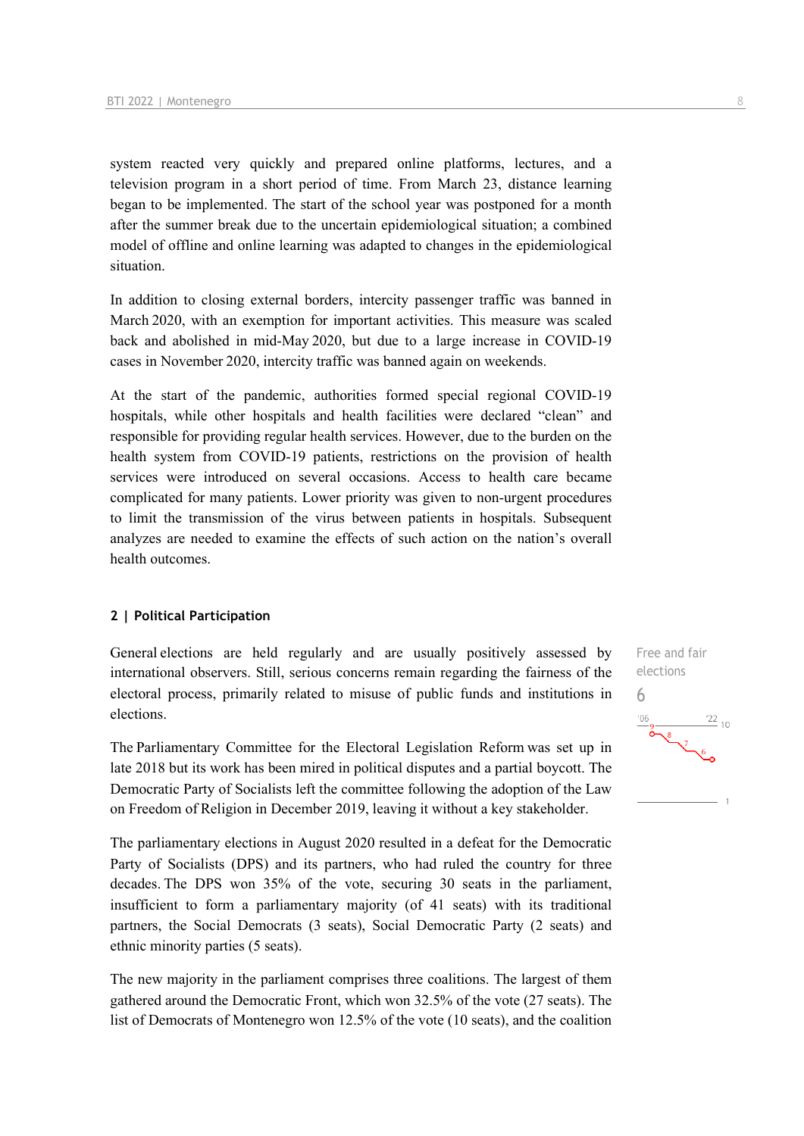system reacted very quickly and prepared online platforms, lectures, and a television program in a short period of time. From March 23, distance learning began to be implemented. The start of the school year was postponed for a month after the summer break due to the uncertain epidemiological situation; a combined model of offline and online learning was adapted to changes in the epidemiological situation. 

In addition to closing external borders, intercity passenger traffic was banned in March 2020, with an exemption for important activities. This measure was scaled back and abolished in mid-May 2020, but due to a large increase in COVID-19 cases in November 2020, intercity traffic was banned again on weekends. 

At the start of the pandemic, authorities formed special regional COVID-19 hospitals, while other hospitals and health facilities were declared "clean" and responsible for providing regular health services. However, due to the burden on the health system from COVID-19 patients, restrictions on the provision of health services were introduced on several occasions. Access to health care became complicated for many patients. Lower priority was given to non-urgent procedures to limit the transmission of the virus between patients in hospitals. Subsequent analyzes are needed to examine the effects of such action on the nation's overall health outcomes. 

#### **2 | Political Participation**

General elections are held regularly and are usually positively assessed by international observers. Still, serious concerns remain regarding the fairness of the electoral process, primarily related to misuse of public funds and institutions in elections.

The Parliamentary Committee for the Electoral Legislation Reform was set up in late 2018 but its work has been mired in political disputes and a partial boycott. The Democratic Party of Socialists left the committee following the adoption of the Law on Freedom of Religion in December 2019, leaving it without a key stakeholder.

The parliamentary elections in August 2020 resulted in a defeat for the Democratic Party of Socialists (DPS) and its partners, who had ruled the country for three decades. The DPS won 35% of the vote, securing 30 seats in the parliament, insufficient to form a parliamentary majority (of 41 seats) with its traditional partners, the Social Democrats (3 seats), Social Democratic Party (2 seats) and ethnic minority parties (5 seats).

The new majority in the parliament comprises three coalitions. The largest of them gathered around the Democratic Front, which won 32.5% of the vote (27 seats). The list of Democrats of Montenegro won 12.5% of the vote (10 seats), and the coalition

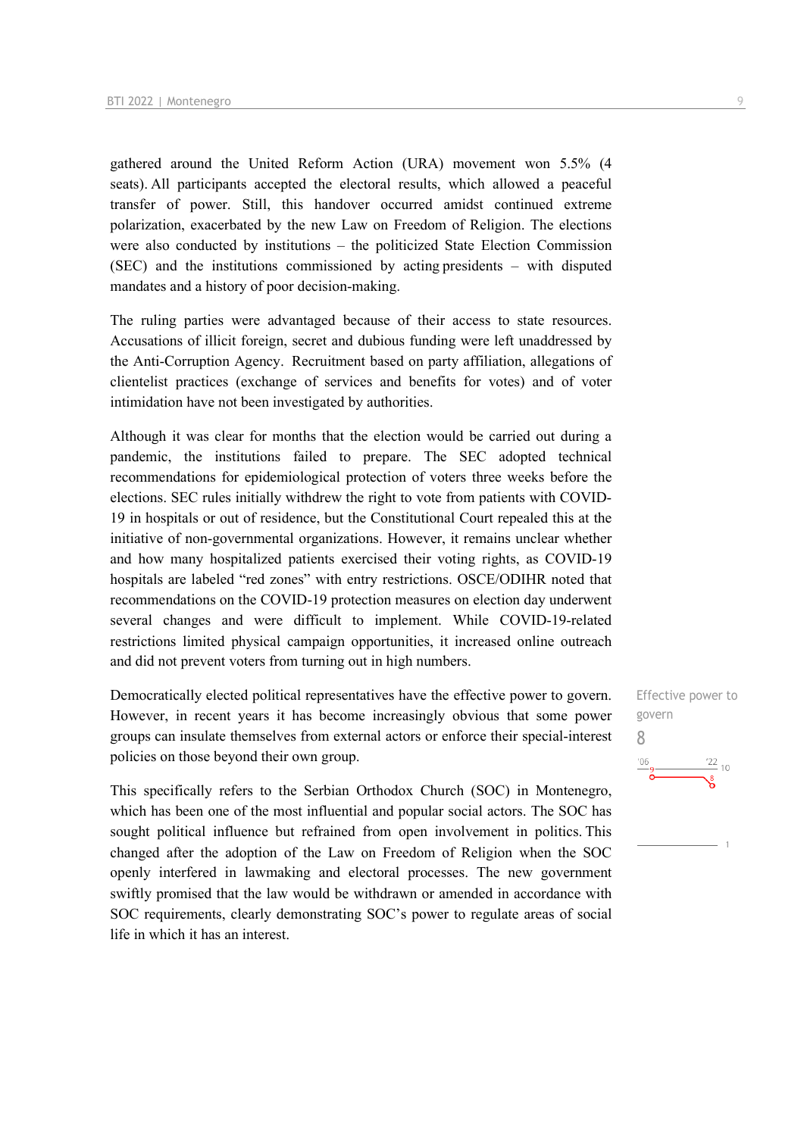gathered around the United Reform Action (URA) movement won 5.5% (4 seats). All participants accepted the electoral results, which allowed a peaceful transfer of power. Still, this handover occurred amidst continued extreme polarization, exacerbated by the new Law on Freedom of Religion. The elections were also conducted by institutions – the politicized State Election Commission (SEC) and the institutions commissioned by acting presidents – with disputed mandates and a history of poor decision-making.

The ruling parties were advantaged because of their access to state resources. Accusations of illicit foreign, secret and dubious funding were left unaddressed by the Anti-Corruption Agency.  Recruitment based on party affiliation, allegations of clientelist practices (exchange of services and benefits for votes) and of voter intimidation have not been investigated by authorities.  

Although it was clear for months that the election would be carried out during a pandemic, the institutions failed to prepare. The SEC adopted technical recommendations for epidemiological protection of voters three weeks before the elections. SEC rules initially withdrew the right to vote from patients with COVID-19 in hospitals or out of residence, but the Constitutional Court repealed this at the initiative of non-governmental organizations. However, it remains unclear whether and how many hospitalized patients exercised their voting rights, as COVID-19 hospitals are labeled "red zones" with entry restrictions. OSCE/ODIHR noted that recommendations on the COVID-19 protection measures on election day underwent several changes and were difficult to implement. While COVID-19-related restrictions limited physical campaign opportunities, it increased online outreach and did not prevent voters from turning out in high numbers. 

Democratically elected political representatives have the effective power to govern. However, in recent years it has become increasingly obvious that some power groups can insulate themselves from external actors or enforce their special-interest policies on those beyond their own group. 

This specifically refers to the Serbian Orthodox Church (SOC) in Montenegro, which has been one of the most influential and popular social actors. The SOC has sought political influence but refrained from open involvement in politics. This changed after the adoption of the Law on Freedom of Religion when the SOC openly interfered in lawmaking and electoral processes. The new government swiftly promised that the law would be withdrawn or amended in accordance with SOC requirements, clearly demonstrating SOC's power to regulate areas of social life in which it has an interest. 

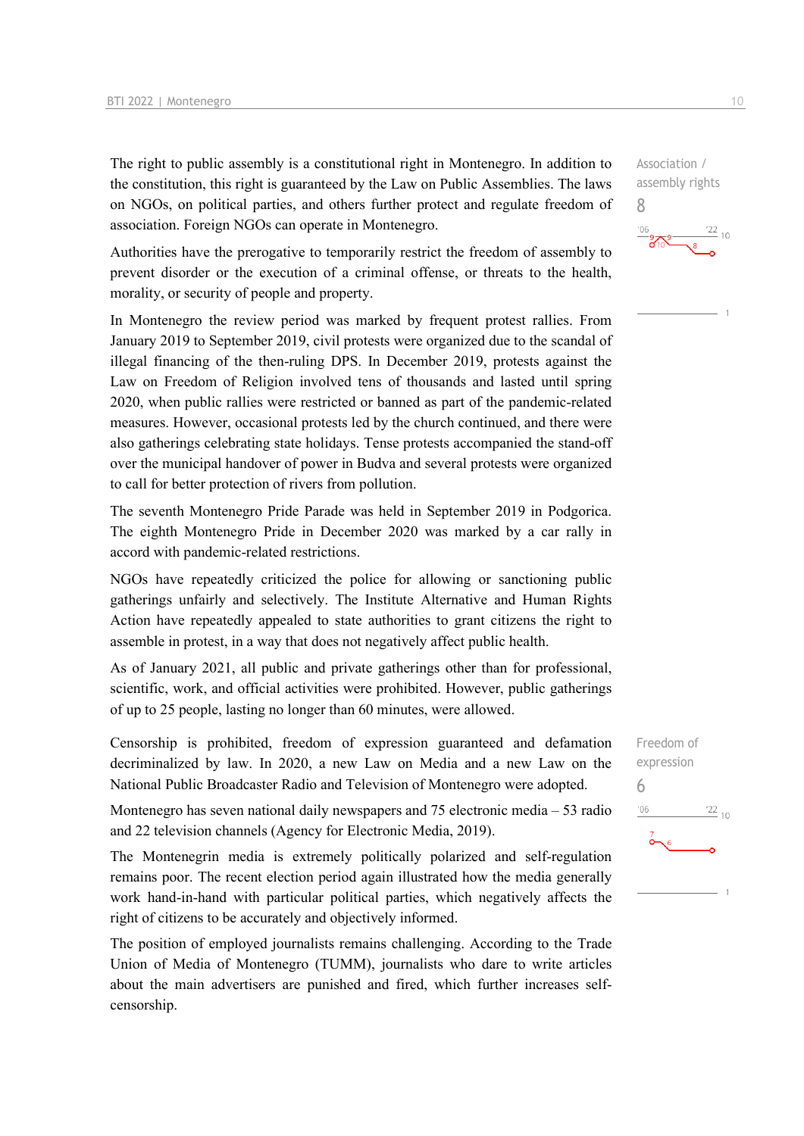The right to public assembly is a constitutional right in Montenegro. In addition to the constitution, this right is guaranteed by the Law on Public Assemblies. The laws on NGOs, on political parties, and others further protect and regulate freedom of association. Foreign NGOs can operate in Montenegro.

Authorities have the prerogative to temporarily restrict the freedom of assembly to prevent disorder or the execution of a criminal offense, or threats to the health, morality, or security of people and property.

In Montenegro the review period was marked by frequent protest rallies. From January 2019 to September 2019, civil protests were organized due to the scandal of illegal financing of the then-ruling DPS. In December 2019, protests against the Law on Freedom of Religion involved tens of thousands and lasted until spring 2020, when public rallies were restricted or banned as part of the pandemic-related measures. However, occasional protests led by the church continued, and there were also gatherings celebrating state holidays. Tense protests accompanied the stand-off over the municipal handover of power in Budva and several protests were organized to call for better protection of rivers from pollution.

The seventh Montenegro Pride Parade was held in September 2019 in Podgorica. The eighth Montenegro Pride in December 2020 was marked by a car rally in accord with pandemic-related restrictions.

NGOs have repeatedly criticized the police for allowing or sanctioning public gatherings unfairly and selectively. The Institute Alternative and Human Rights Action have repeatedly appealed to state authorities to grant citizens the right to assemble in protest, in a way that does not negatively affect public health.

As of January 2021, all public and private gatherings other than for professional, scientific, work, and official activities were prohibited. However, public gatherings of up to 25 people, lasting no longer than 60 minutes, were allowed.

Censorship is prohibited, freedom of expression guaranteed and defamation decriminalized by law. In 2020, a new Law on Media and a new Law on the National Public Broadcaster Radio and Television of Montenegro were adopted.

Montenegro has seven national daily newspapers and 75 electronic media – 53 radio and 22 television channels (Agency for Electronic Media, 2019).

The Montenegrin media is extremely politically polarized and self-regulation remains poor. The recent election period again illustrated how the media generally work hand-in-hand with particular political parties, which negatively affects the right of citizens to be accurately and objectively informed.

The position of employed journalists remains challenging. According to the Trade Union of Media of Montenegro (TUMM), journalists who dare to write articles about the main advertisers are punished and fired, which further increases selfcensorship.

Freedom of expression 6 $\frac{22}{10}$  $'06$ 

8

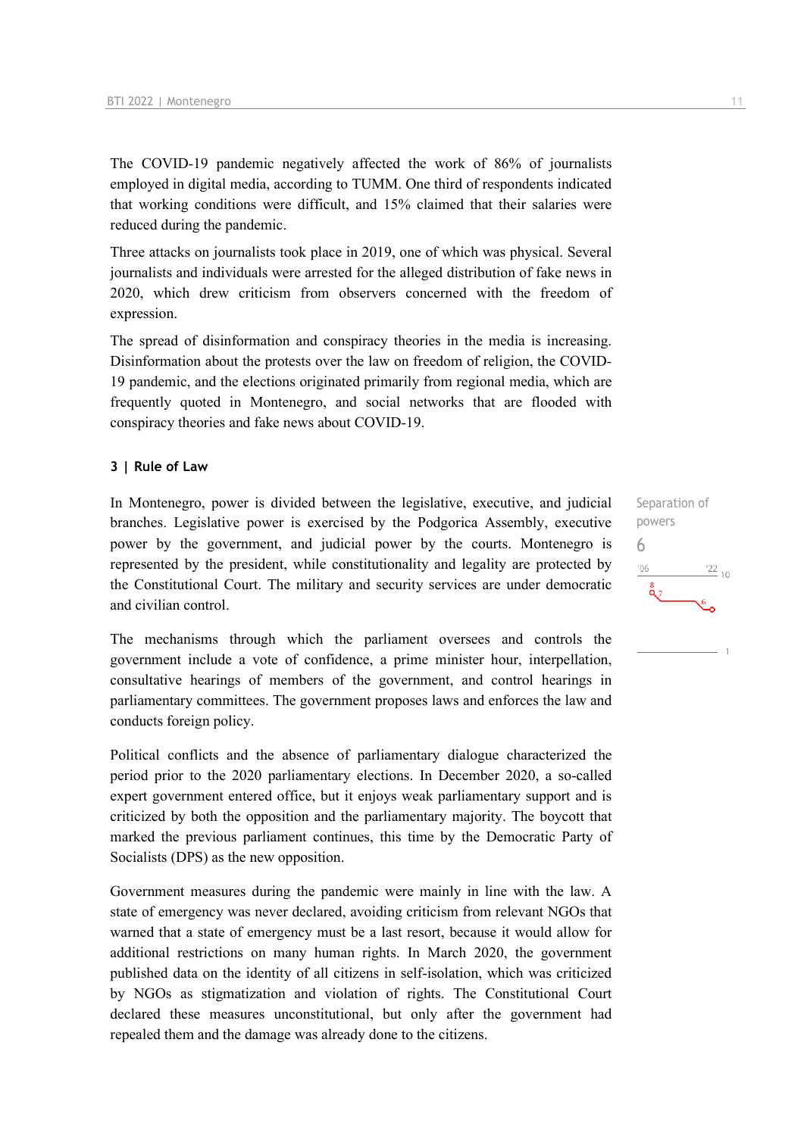The COVID-19 pandemic negatively affected the work of 86% of journalists employed in digital media, according to TUMM. One third of respondents indicated that working conditions were difficult, and 15% claimed that their salaries were reduced during the pandemic.

Three attacks on journalists took place in 2019, one of which was physical. Several journalists and individuals were arrested for the alleged distribution of fake news in 2020, which drew criticism from observers concerned with the freedom of expression.

The spread of disinformation and conspiracy theories in the media is increasing. Disinformation about the protests over the law on freedom of religion, the COVID-19 pandemic, and the elections originated primarily from regional media, which are frequently quoted in Montenegro, and social networks that are flooded with conspiracy theories and fake news about COVID-19.

#### **3 | Rule of Law**

In Montenegro, power is divided between the legislative, executive, and judicial branches. Legislative power is exercised by the Podgorica Assembly, executive power by the government, and judicial power by the courts. Montenegro is represented by the president, while constitutionality and legality are protected by the Constitutional Court. The military and security services are under democratic and civilian control.

The mechanisms through which the parliament oversees and controls the government include a vote of confidence, a prime minister hour, interpellation, consultative hearings of members of the government, and control hearings in parliamentary committees. The government proposes laws and enforces the law and conducts foreign policy.

Political conflicts and the absence of parliamentary dialogue characterized the period prior to the 2020 parliamentary elections. In December 2020, a so-called expert government entered office, but it enjoys weak parliamentary support and is criticized by both the opposition and the parliamentary majority. The boycott that marked the previous parliament continues, this time by the Democratic Party of Socialists (DPS) as the new opposition.

Government measures during the pandemic were mainly in line with the law. A state of emergency was never declared, avoiding criticism from relevant NGOs that warned that a state of emergency must be a last resort, because it would allow for additional restrictions on many human rights. In March 2020, the government published data on the identity of all citizens in self-isolation, which was criticized by NGOs as stigmatization and violation of rights. The Constitutional Court declared these measures unconstitutional, but only after the government had repealed them and the damage was already done to the citizens.

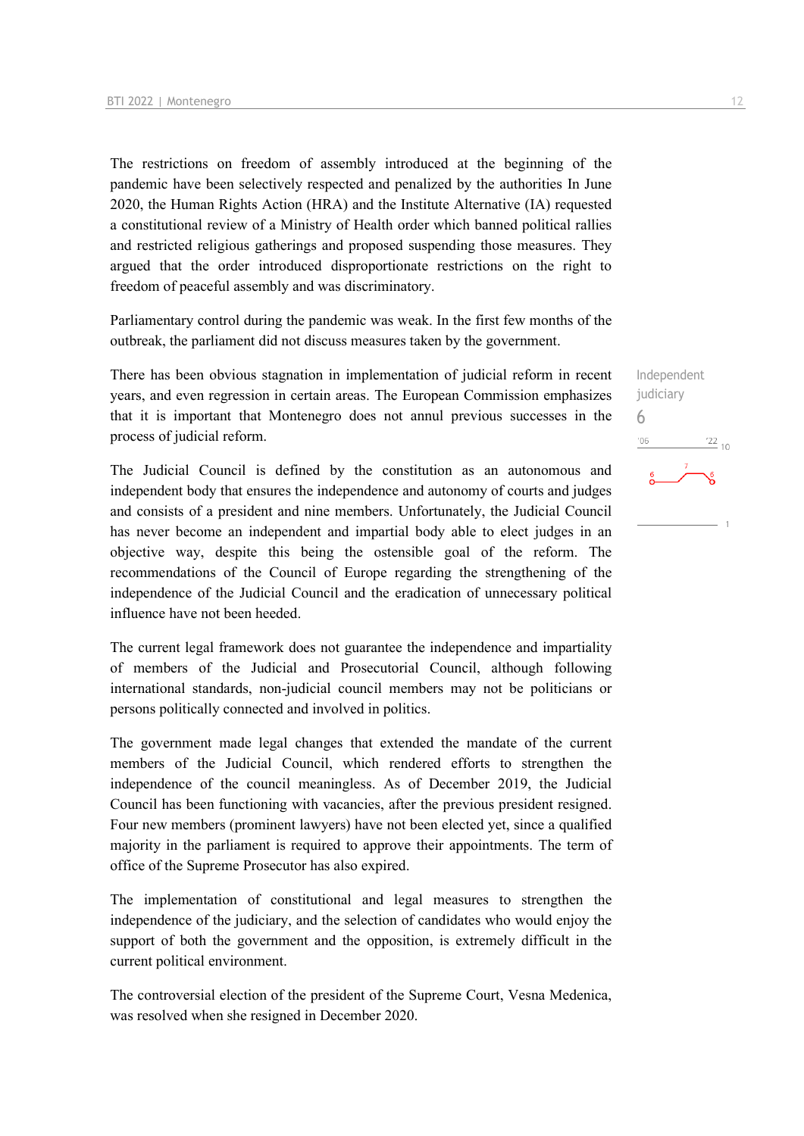The restrictions on freedom of assembly introduced at the beginning of the pandemic have been selectively respected and penalized by the authorities In June 2020, the Human Rights Action (HRA) and the Institute Alternative (IA) requested a constitutional review of a Ministry of Health order which banned political rallies and restricted religious gatherings and proposed suspending those measures. They argued that the order introduced disproportionate restrictions on the right to freedom of peaceful assembly and was discriminatory.

Parliamentary control during the pandemic was weak. In the first few months of the outbreak, the parliament did not discuss measures taken by the government.

There has been obvious stagnation in implementation of judicial reform in recent years, and even regression in certain areas. The European Commission emphasizes that it is important that Montenegro does not annul previous successes in the process of judicial reform.

The Judicial Council is defined by the constitution as an autonomous and independent body that ensures the independence and autonomy of courts and judges and consists of a president and nine members. Unfortunately, the Judicial Council has never become an independent and impartial body able to elect judges in an objective way, despite this being the ostensible goal of the reform. The recommendations of the Council of Europe regarding the strengthening of the independence of the Judicial Council and the eradication of unnecessary political influence have not been heeded.

The current legal framework does not guarantee the independence and impartiality of members of the Judicial and Prosecutorial Council, although following international standards, non-judicial council members may not be politicians or persons politically connected and involved in politics.

The government made legal changes that extended the mandate of the current members of the Judicial Council, which rendered efforts to strengthen the independence of the council meaningless. As of December 2019, the Judicial Council has been functioning with vacancies, after the previous president resigned. Four new members (prominent lawyers) have not been elected yet, since a qualified majority in the parliament is required to approve their appointments. The term of office of the Supreme Prosecutor has also expired.

The implementation of constitutional and legal measures to strengthen the independence of the judiciary, and the selection of candidates who would enjoy the support of both the government and the opposition, is extremely difficult in the current political environment.

The controversial election of the president of the Supreme Court, Vesna Medenica, was resolved when she resigned in December 2020.

6 $-06$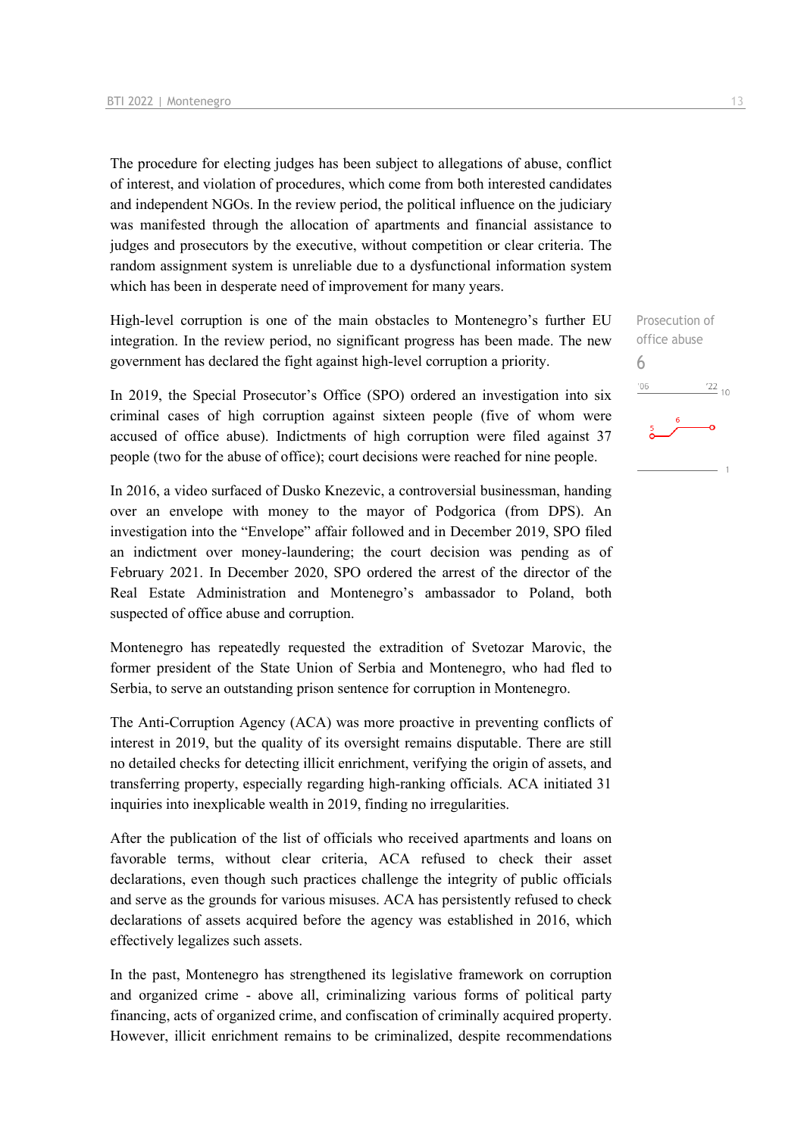The procedure for electing judges has been subject to allegations of abuse, conflict of interest, and violation of procedures, which come from both interested candidates and independent NGOs. In the review period, the political influence on the judiciary was manifested through the allocation of apartments and financial assistance to judges and prosecutors by the executive, without competition or clear criteria. The random assignment system is unreliable due to a dysfunctional information system which has been in desperate need of improvement for many years.

High-level corruption is one of the main obstacles to Montenegro's further EU integration. In the review period, no significant progress has been made. The new government has declared the fight against high-level corruption a priority.

In 2019, the Special Prosecutor's Office (SPO) ordered an investigation into six criminal cases of high corruption against sixteen people (five of whom were accused of office abuse). Indictments of high corruption were filed against 37 people (two for the abuse of office); court decisions were reached for nine people.

In 2016, a video surfaced of Dusko Knezevic, a controversial businessman, handing over an envelope with money to the mayor of Podgorica (from DPS). An investigation into the "Envelope" affair followed and in December 2019, SPO filed an indictment over money-laundering; the court decision was pending as of February 2021. In December 2020, SPO ordered the arrest of the director of the Real Estate Administration and Montenegro's ambassador to Poland, both suspected of office abuse and corruption.

Montenegro has repeatedly requested the extradition of Svetozar Marovic, the former president of the State Union of Serbia and Montenegro, who had fled to Serbia, to serve an outstanding prison sentence for corruption in Montenegro.

The Anti-Corruption Agency (ACA) was more proactive in preventing conflicts of interest in 2019, but the quality of its oversight remains disputable. There are still no detailed checks for detecting illicit enrichment, verifying the origin of assets, and transferring property, especially regarding high-ranking officials. ACA initiated 31 inquiries into inexplicable wealth in 2019, finding no irregularities.

After the publication of the list of officials who received apartments and loans on favorable terms, without clear criteria, ACA refused to check their asset declarations, even though such practices challenge the integrity of public officials and serve as the grounds for various misuses. ACA has persistently refused to check declarations of assets acquired before the agency was established in 2016, which effectively legalizes such assets.

In the past, Montenegro has strengthened its legislative framework on corruption and organized crime - above all, criminalizing various forms of political party financing, acts of organized crime, and confiscation of criminally acquired property. However, illicit enrichment remains to be criminalized, despite recommendations

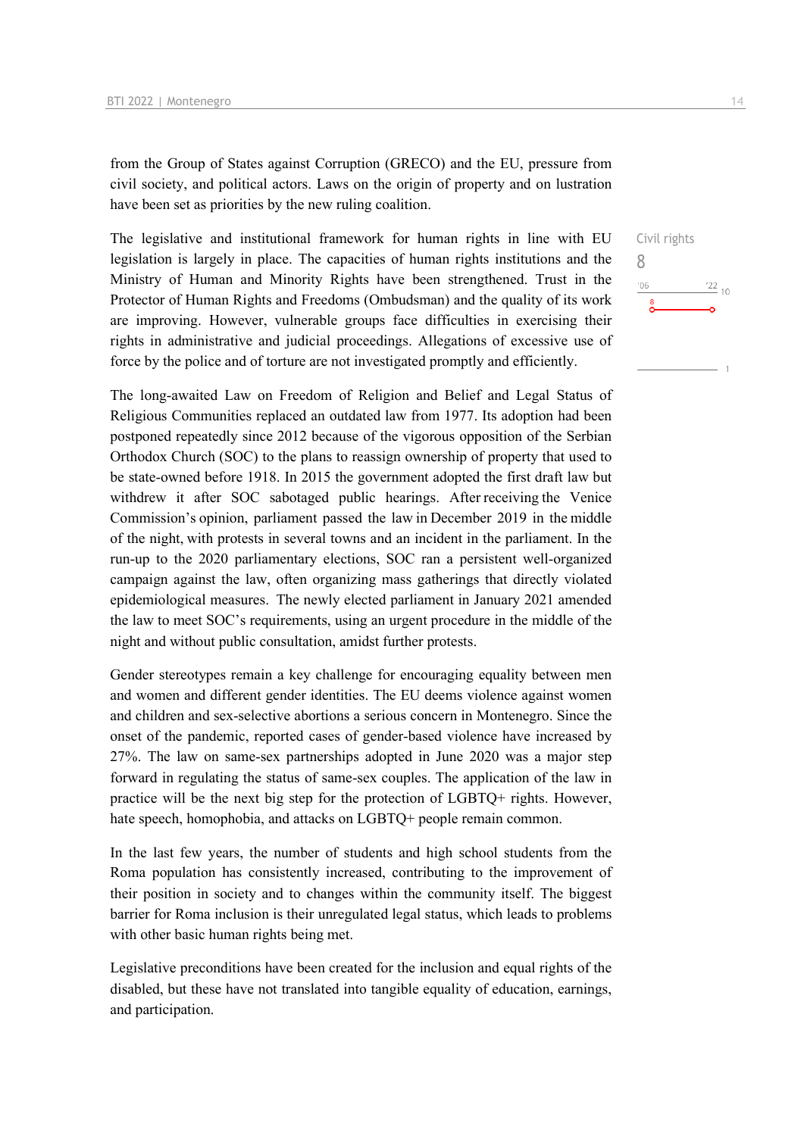from the Group of States against Corruption (GRECO) and the EU, pressure from civil society, and political actors. Laws on the origin of property and on lustration have been set as priorities by the new ruling coalition.

The legislative and institutional framework for human rights in line with EU legislation is largely in place. The capacities of human rights institutions and the Ministry of Human and Minority Rights have been strengthened. Trust in the Protector of Human Rights and Freedoms (Ombudsman) and the quality of its work are improving. However, vulnerable groups face difficulties in exercising their rights in administrative and judicial proceedings. Allegations of excessive use of force by the police and of torture are not investigated promptly and efficiently.

The long-awaited Law on Freedom of Religion and Belief and Legal Status of Religious Communities replaced an outdated law from 1977. Its adoption had been postponed repeatedly since 2012 because of the vigorous opposition of the Serbian Orthodox Church (SOC) to the plans to reassign ownership of property that used to be state-owned before 1918. In 2015 the government adopted the first draft law but withdrew it after SOC sabotaged public hearings. After receiving the Venice Commission's opinion, parliament passed the law in December 2019 in the middle of the night, with protests in several towns and an incident in the parliament. In the run-up to the 2020 parliamentary elections, SOC ran a persistent well-organized campaign against the law, often organizing mass gatherings that directly violated epidemiological measures.  The newly elected parliament in January 2021 amended the law to meet SOC's requirements, using an urgent procedure in the middle of the night and without public consultation, amidst further protests.

Gender stereotypes remain a key challenge for encouraging equality between men and women and different gender identities. The EU deems violence against women and children and sex-selective abortions a serious concern in Montenegro. Since the onset of the pandemic, reported cases of gender-based violence have increased by 27%. The law on same-sex partnerships adopted in June 2020 was a major step forward in regulating the status of same-sex couples. The application of the law in practice will be the next big step for the protection of LGBTQ+ rights. However, hate speech, homophobia, and attacks on LGBTQ+ people remain common.

In the last few years, the number of students and high school students from the Roma population has consistently increased, contributing to the improvement of their position in society and to changes within the community itself. The biggest barrier for Roma inclusion is their unregulated legal status, which leads to problems with other basic human rights being met.

Legislative preconditions have been created for the inclusion and equal rights of the disabled, but these have not translated into tangible equality of education, earnings, and participation.

 $\frac{22}{10}$ 

Civil rights

8 $^{\prime}06$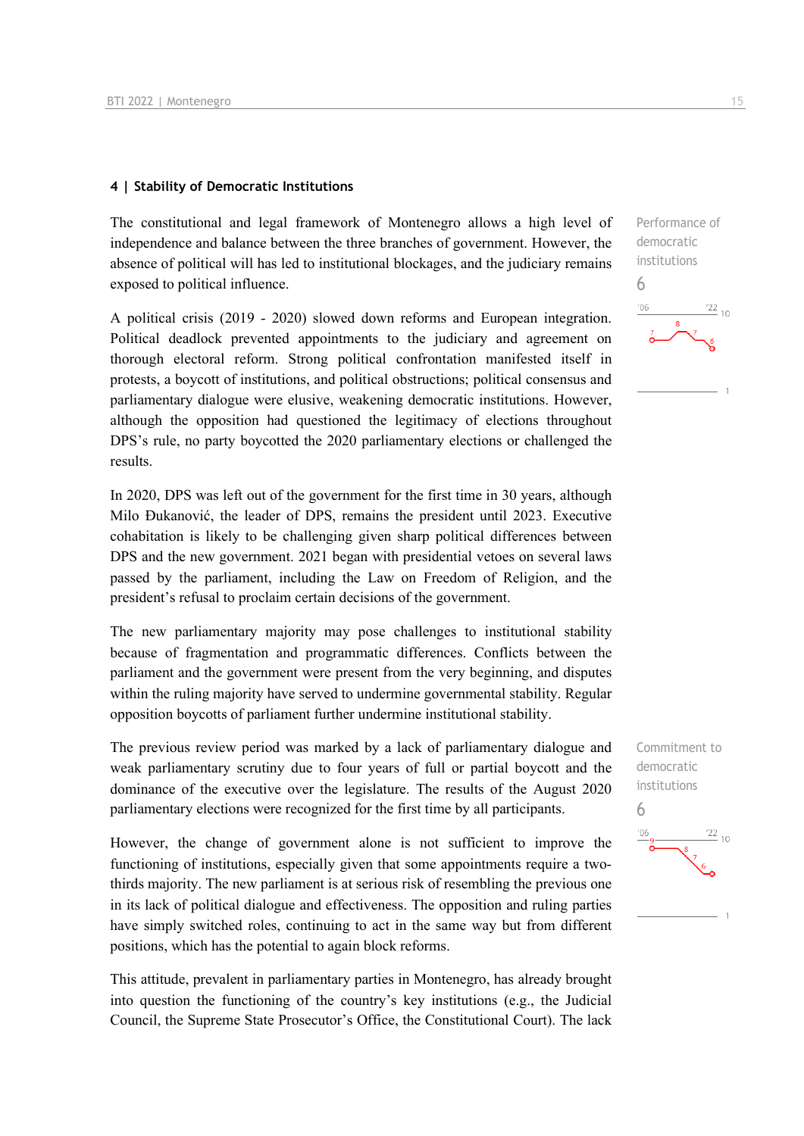#### **4 | Stability of Democratic Institutions**

The constitutional and legal framework of Montenegro allows a high level of independence and balance between the three branches of government. However, the absence of political will has led to institutional blockages, and the judiciary remains exposed to political influence.

A political crisis (2019 - 2020) slowed down reforms and European integration. Political deadlock prevented appointments to the judiciary and agreement on thorough electoral reform. Strong political confrontation manifested itself in protests, a boycott of institutions, and political obstructions; political consensus and parliamentary dialogue were elusive, weakening democratic institutions. However, although the opposition had questioned the legitimacy of elections throughout DPS's rule, no party boycotted the 2020 parliamentary elections or challenged the results.

In 2020, DPS was left out of the government for the first time in 30 years, although Milo Đukanović, the leader of DPS, remains the president until 2023. Executive cohabitation is likely to be challenging given sharp political differences between DPS and the new government. 2021 began with presidential vetoes on several laws passed by the parliament, including the Law on Freedom of Religion, and the president's refusal to proclaim certain decisions of the government.

The new parliamentary majority may pose challenges to institutional stability because of fragmentation and programmatic differences. Conflicts between the parliament and the government were present from the very beginning, and disputes within the ruling majority have served to undermine governmental stability. Regular opposition boycotts of parliament further undermine institutional stability.

The previous review period was marked by a lack of parliamentary dialogue and weak parliamentary scrutiny due to four years of full or partial boycott and the dominance of the executive over the legislature. The results of the August 2020 parliamentary elections were recognized for the first time by all participants.

However, the change of government alone is not sufficient to improve the functioning of institutions, especially given that some appointments require a twothirds majority. The new parliament is at serious risk of resembling the previous one in its lack of political dialogue and effectiveness. The opposition and ruling parties have simply switched roles, continuing to act in the same way but from different positions, which has the potential to again block reforms.

This attitude, prevalent in parliamentary parties in Montenegro, has already brought into question the functioning of the country's key institutions (e.g., the Judicial Council, the Supreme State Prosecutor's Office, the Constitutional Court). The lack

Performance of democratic institutions 6  $\frac{22}{10}$ 'OF

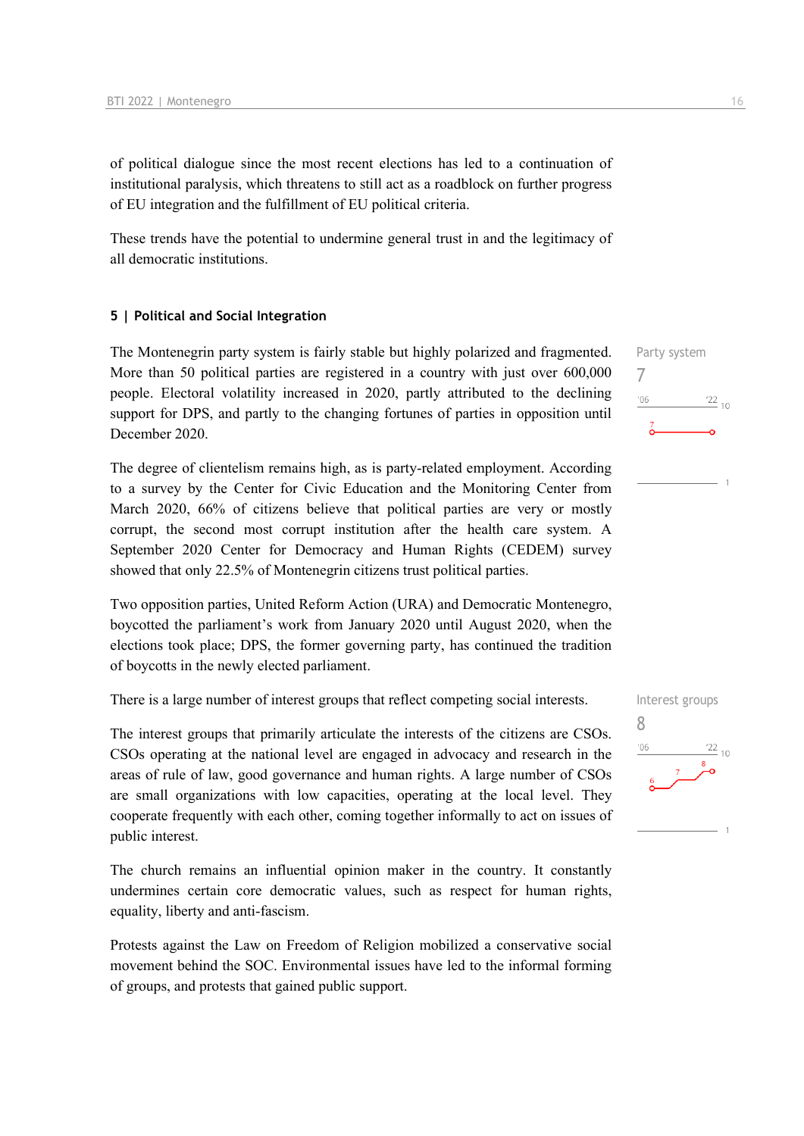of political dialogue since the most recent elections has led to a continuation of institutional paralysis, which threatens to still act as a roadblock on further progress of EU integration and the fulfillment of EU political criteria.

These trends have the potential to undermine general trust in and the legitimacy of all democratic institutions.

#### **5 | Political and Social Integration**

The Montenegrin party system is fairly stable but highly polarized and fragmented. More than 50 political parties are registered in a country with just over 600,000 people. Electoral volatility increased in 2020, partly attributed to the declining support for DPS, and partly to the changing fortunes of parties in opposition until December 2020.

The degree of clientelism remains high, as is party-related employment. According to a survey by the Center for Civic Education and the Monitoring Center from March 2020, 66% of citizens believe that political parties are very or mostly corrupt, the second most corrupt institution after the health care system. A September 2020 Center for Democracy and Human Rights (CEDEM) survey showed that only 22.5% of Montenegrin citizens trust political parties.

Two opposition parties, United Reform Action (URA) and Democratic Montenegro, boycotted the parliament's work from January 2020 until August 2020, when the elections took place; DPS, the former governing party, has continued the tradition of boycotts in the newly elected parliament.

There is a large number of interest groups that reflect competing social interests.

The interest groups that primarily articulate the interests of the citizens are CSOs. CSOs operating at the national level are engaged in advocacy and research in the areas of rule of law, good governance and human rights. A large number of CSOs are small organizations with low capacities, operating at the local level. They cooperate frequently with each other, coming together informally to act on issues of public interest.

The church remains an influential opinion maker in the country. It constantly undermines certain core democratic values, such as respect for human rights, equality, liberty and anti-fascism.

Protests against the Law on Freedom of Religion mobilized a conservative social movement behind the SOC. Environmental issues have led to the informal forming of groups, and protests that gained public support.

Party system 7  $-06$  $\frac{22}{10}$ 

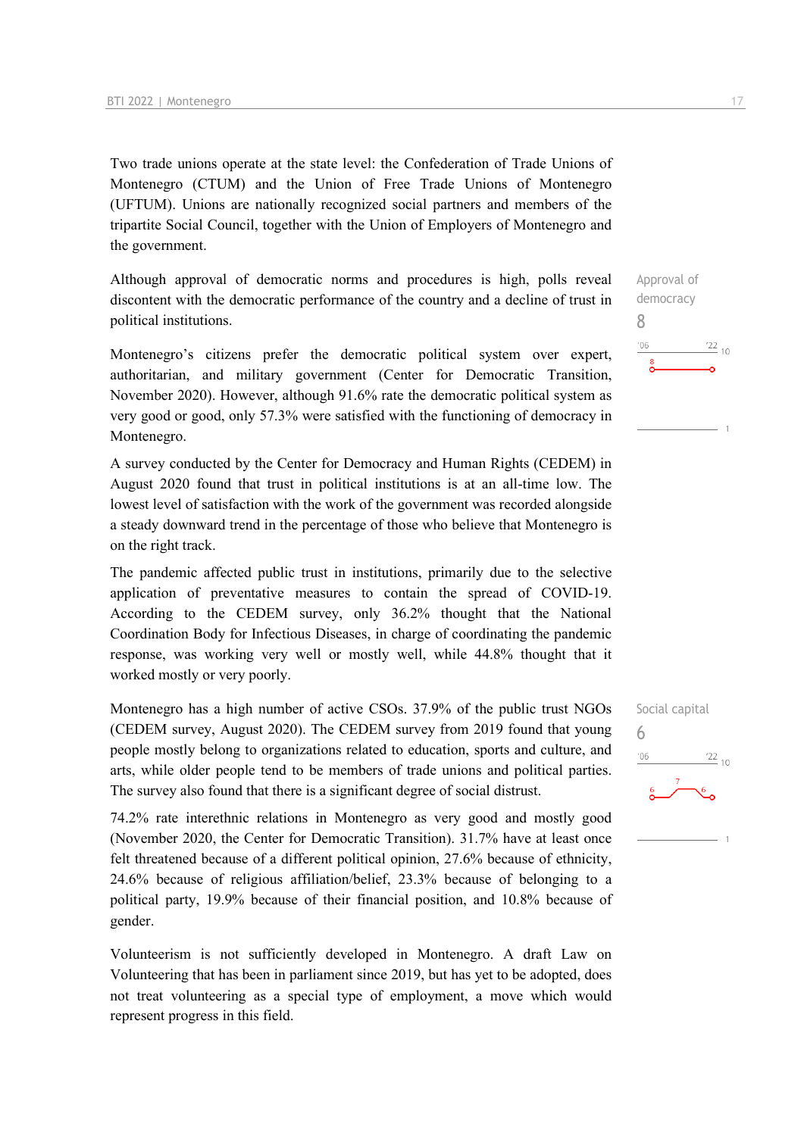Two trade unions operate at the state level: the Confederation of Trade Unions of Montenegro (CTUM) and the Union of Free Trade Unions of Montenegro (UFTUM). Unions are nationally recognized social partners and members of the tripartite Social Council, together with the Union of Employers of Montenegro and the government.

Although approval of democratic norms and procedures is high, polls reveal discontent with the democratic performance of the country and a decline of trust in political institutions.

Montenegro's citizens prefer the democratic political system over expert, authoritarian, and military government (Center for Democratic Transition, November 2020). However, although 91.6% rate the democratic political system as very good or good, only 57.3% were satisfied with the functioning of democracy in Montenegro.

A survey conducted by the Center for Democracy and Human Rights (CEDEM) in August 2020 found that trust in political institutions is at an all-time low. The lowest level of satisfaction with the work of the government was recorded alongside a steady downward trend in the percentage of those who believe that Montenegro is on the right track.

The pandemic affected public trust in institutions, primarily due to the selective application of preventative measures to contain the spread of COVID-19. According to the CEDEM survey, only 36.2% thought that the National Coordination Body for Infectious Diseases, in charge of coordinating the pandemic response, was working very well or mostly well, while 44.8% thought that it worked mostly or very poorly.

Montenegro has a high number of active CSOs. 37.9% of the public trust NGOs (CEDEM survey, August 2020). The CEDEM survey from 2019 found that young people mostly belong to organizations related to education, sports and culture, and arts, while older people tend to be members of trade unions and political parties. The survey also found that there is a significant degree of social distrust.

74.2% rate interethnic relations in Montenegro as very good and mostly good (November 2020, the Center for Democratic Transition). 31.7% have at least once felt threatened because of a different political opinion, 27.6% because of ethnicity, 24.6% because of religious affiliation/belief, 23.3% because of belonging to a political party, 19.9% because of their financial position, and 10.8% because of gender.

Volunteerism is not sufficiently developed in Montenegro. A draft Law on Volunteering that has been in parliament since 2019, but has yet to be adopted, does not treat volunteering as a special type of employment, a move which would represent progress in this field.



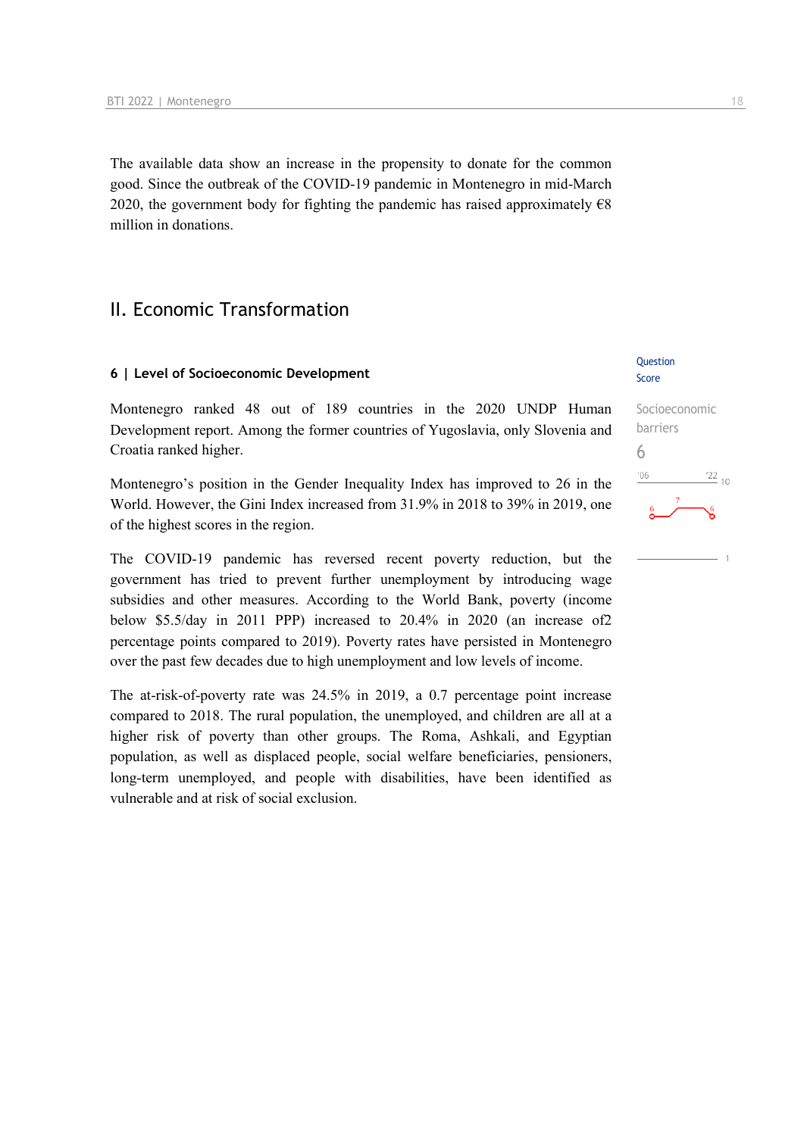The available data show an increase in the propensity to donate for the common good. Since the outbreak of the COVID-19 pandemic in Montenegro in mid-March 2020, the government body for fighting the pandemic has raised approximately €8 million in donations.

## II. Economic Transformation

#### **6 | Level of Socioeconomic Development**

Montenegro ranked 48 out of 189 countries in the 2020 UNDP Human Development report. Among the former countries of Yugoslavia, only Slovenia and Croatia ranked higher.

Montenegro's position in the Gender Inequality Index has improved to 26 in the World. However, the Gini Index increased from 31.9% in 2018 to 39% in 2019, one of the highest scores in the region.

The COVID-19 pandemic has reversed recent poverty reduction, but the government has tried to prevent further unemployment by introducing wage subsidies and other measures. According to the World Bank, poverty (income below \$5.5/day in 2011 PPP) increased to 20.4% in 2020 (an increase of2 percentage points compared to 2019). Poverty rates have persisted in Montenegro over the past few decades due to high unemployment and low levels of income.

The at-risk-of-poverty rate was 24.5% in 2019, a 0.7 percentage point increase compared to 2018. The rural population, the unemployed, and children are all at a higher risk of poverty than other groups. The Roma, Ashkali, and Egyptian population, as well as displaced people, social welfare beneficiaries, pensioners, long-term unemployed, and people with disabilities, have been identified as vulnerable and at risk of social exclusion.

#### **Ouestion** Score

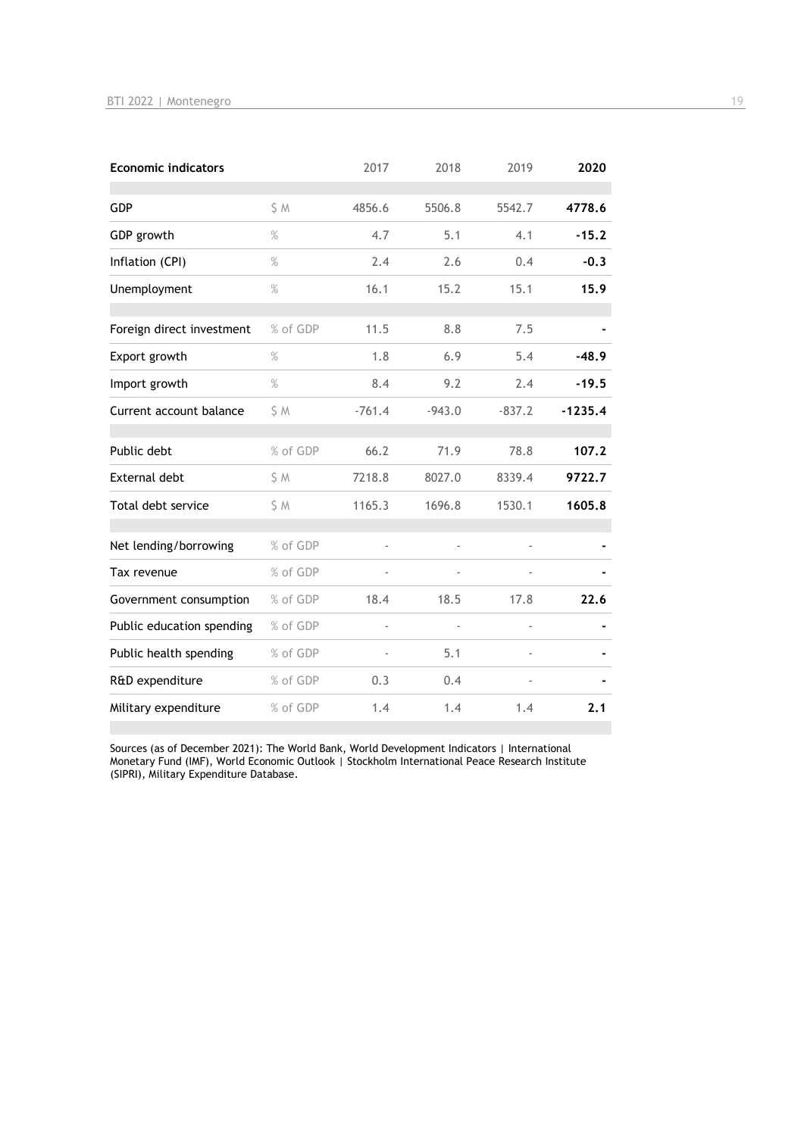| <b>Economic indicators</b> |          | 2017     | 2018     | 2019     | 2020      |
|----------------------------|----------|----------|----------|----------|-----------|
| <b>GDP</b>                 | S M      | 4856.6   | 5506.8   | 5542.7   | 4778.6    |
| GDP growth                 | $\%$     | 4.7      | 5.1      | 4.1      | $-15.2$   |
| Inflation (CPI)            | $\%$     | 2.4      | 2.6      | 0.4      | $-0.3$    |
| Unemployment               | $\%$     | 16.1     | 15.2     | 15.1     | 15.9      |
| Foreign direct investment  | % of GDP | 11.5     | 8.8      | 7.5      |           |
| Export growth              | $\%$     | 1.8      | 6.9      | 5.4      | $-48.9$   |
| Import growth              | $\%$     | 8.4      | 9.2      | 2.4      | $-19.5$   |
| Current account balance    | \$ M     | $-761.4$ | $-943.0$ | $-837.2$ | $-1235.4$ |
| Public debt                | % of GDP | 66.2     | 71.9     | 78.8     | 107.2     |
| <b>External debt</b>       | \$ M     | 7218.8   | 8027.0   | 8339.4   | 9722.7    |
| Total debt service         | S M      | 1165.3   | 1696.8   | 1530.1   | 1605.8    |
| Net lending/borrowing      | % of GDP | ä,       |          |          |           |
| Tax revenue                | % of GDP |          |          |          |           |
| Government consumption     | % of GDP | 18.4     | 18.5     | 17.8     | 22.6      |
| Public education spending  | % of GDP | ÷,       |          |          |           |
| Public health spending     | % of GDP |          | 5.1      |          |           |
| R&D expenditure            | % of GDP | 0.3      | 0.4      |          |           |
| Military expenditure       | % of GDP | 1.4      | 1.4      | 1.4      | 2.1       |

Sources (as of December 2021): The World Bank, World Development Indicators | International Monetary Fund (IMF), World Economic Outlook | Stockholm International Peace Research Institute (SIPRI), Military Expenditure Database.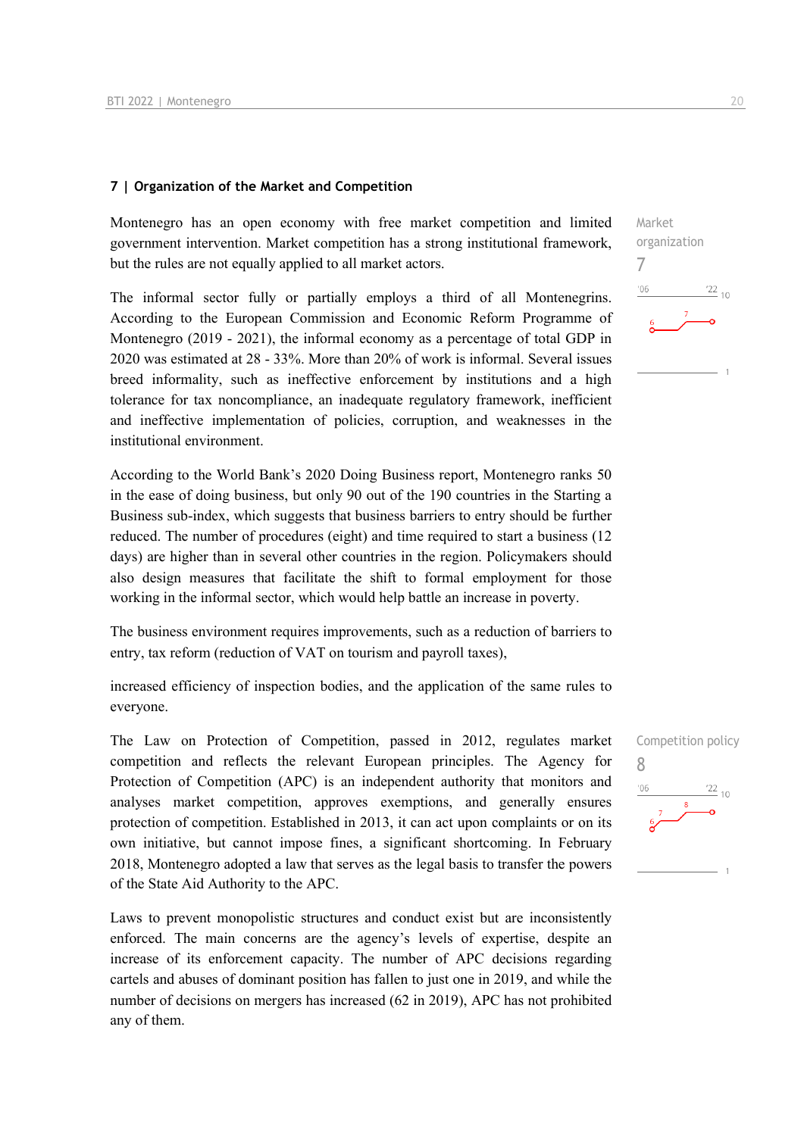#### **7 | Organization of the Market and Competition**

Montenegro has an open economy with free market competition and limited government intervention. Market competition has a strong institutional framework, but the rules are not equally applied to all market actors.

The informal sector fully or partially employs a third of all Montenegrins. According to the European Commission and Economic Reform Programme of Montenegro (2019 - 2021), the informal economy as a percentage of total GDP in 2020 was estimated at 28 - 33%. More than 20% of work is informal. Several issues breed informality, such as ineffective enforcement by institutions and a high tolerance for tax noncompliance, an inadequate regulatory framework, inefficient and ineffective implementation of policies, corruption, and weaknesses in the institutional environment.

According to the World Bank's 2020 Doing Business report, Montenegro ranks 50 in the ease of doing business, but only 90 out of the 190 countries in the Starting a Business sub-index, which suggests that business barriers to entry should be further reduced. The number of procedures (eight) and time required to start a business (12 days) are higher than in several other countries in the region. Policymakers should also design measures that facilitate the shift to formal employment for those working in the informal sector, which would help battle an increase in poverty.

The business environment requires improvements, such as a reduction of barriers to entry, tax reform (reduction of VAT on tourism and payroll taxes),

increased efficiency of inspection bodies, and the application of the same rules to everyone.

The Law on Protection of Competition, passed in 2012, regulates market competition and reflects the relevant European principles. The Agency for Protection of Competition (APC) is an independent authority that monitors and analyses market competition, approves exemptions, and generally ensures protection of competition. Established in 2013, it can act upon complaints or on its own initiative, but cannot impose fines, a significant shortcoming. In February 2018, Montenegro adopted a law that serves as the legal basis to transfer the powers of the State Aid Authority to the APC.

Laws to prevent monopolistic structures and conduct exist but are inconsistently enforced. The main concerns are the agency's levels of expertise, despite an increase of its enforcement capacity. The number of APC decisions regarding cartels and abuses of dominant position has fallen to just one in 2019, and while the number of decisions on mergers has increased (62 in 2019), APC has not prohibited any of them.



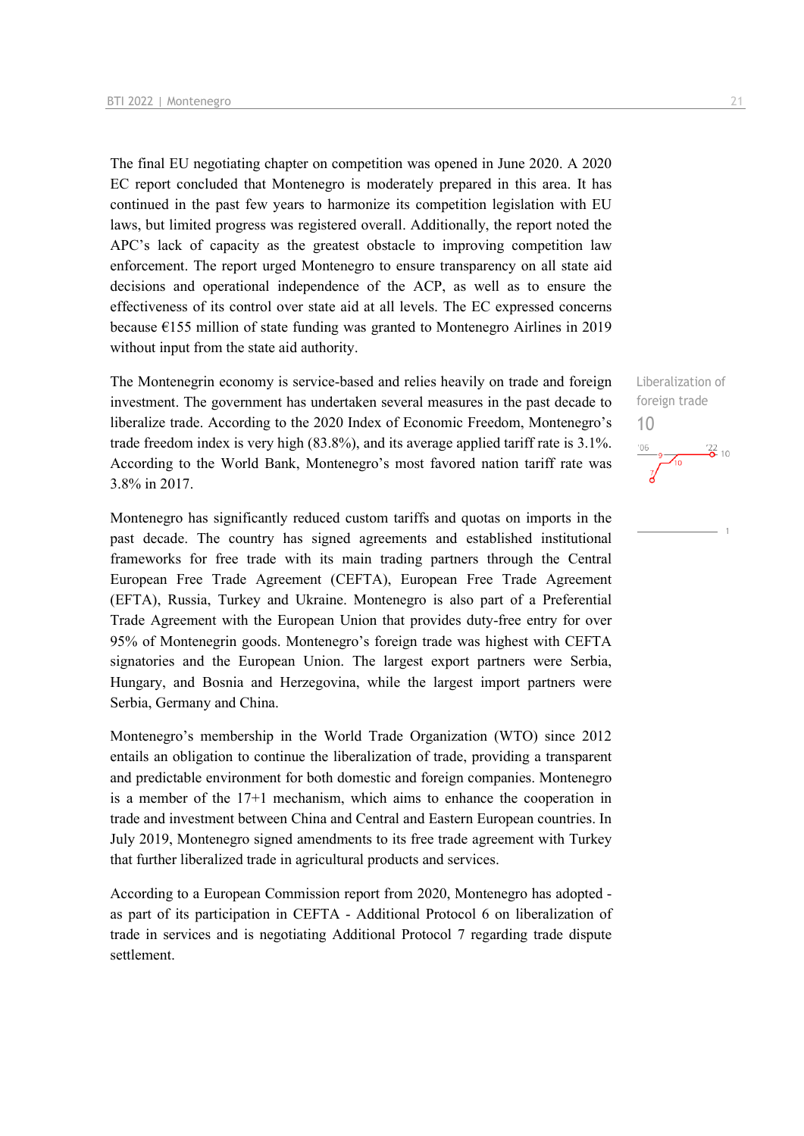The final EU negotiating chapter on competition was opened in June 2020. A 2020 EC report concluded that Montenegro is moderately prepared in this area. It has continued in the past few years to harmonize its competition legislation with EU laws, but limited progress was registered overall. Additionally, the report noted the APC's lack of capacity as the greatest obstacle to improving competition law enforcement. The report urged Montenegro to ensure transparency on all state aid decisions and operational independence of the ACP, as well as to ensure the effectiveness of its control over state aid at all levels. The EC expressed concerns because €155 million of state funding was granted to Montenegro Airlines in 2019 without input from the state aid authority.

The Montenegrin economy is service-based and relies heavily on trade and foreign investment. The government has undertaken several measures in the past decade to liberalize trade. According to the 2020 Index of Economic Freedom, Montenegro's trade freedom index is very high (83.8%), and its average applied tariff rate is 3.1%. According to the World Bank, Montenegro's most favored nation tariff rate was 3.8% in 2017.

Montenegro has significantly reduced custom tariffs and quotas on imports in the past decade. The country has signed agreements and established institutional frameworks for free trade with its main trading partners through the Central European Free Trade Agreement (CEFTA), European Free Trade Agreement (EFTA), Russia, Turkey and Ukraine. Montenegro is also part of a Preferential Trade Agreement with the European Union that provides duty-free entry for over 95% of Montenegrin goods. Montenegro's foreign trade was highest with CEFTA signatories and the European Union. The largest export partners were Serbia, Hungary, and Bosnia and Herzegovina, while the largest import partners were Serbia, Germany and China.

Montenegro's membership in the World Trade Organization (WTO) since 2012 entails an obligation to continue the liberalization of trade, providing a transparent and predictable environment for both domestic and foreign companies. Montenegro is a member of the 17+1 mechanism, which aims to enhance the cooperation in trade and investment between China and Central and Eastern European countries. In July 2019, Montenegro signed amendments to its free trade agreement with Turkey that further liberalized trade in agricultural products and services.

According to a European Commission report from 2020, Montenegro has adopted as part of its participation in CEFTA - Additional Protocol 6 on liberalization of trade in services and is negotiating Additional Protocol 7 regarding trade dispute settlement.

Liberalization of foreign trade 10

 $\frac{106}{7}$  9  $\frac{122}{0}$  10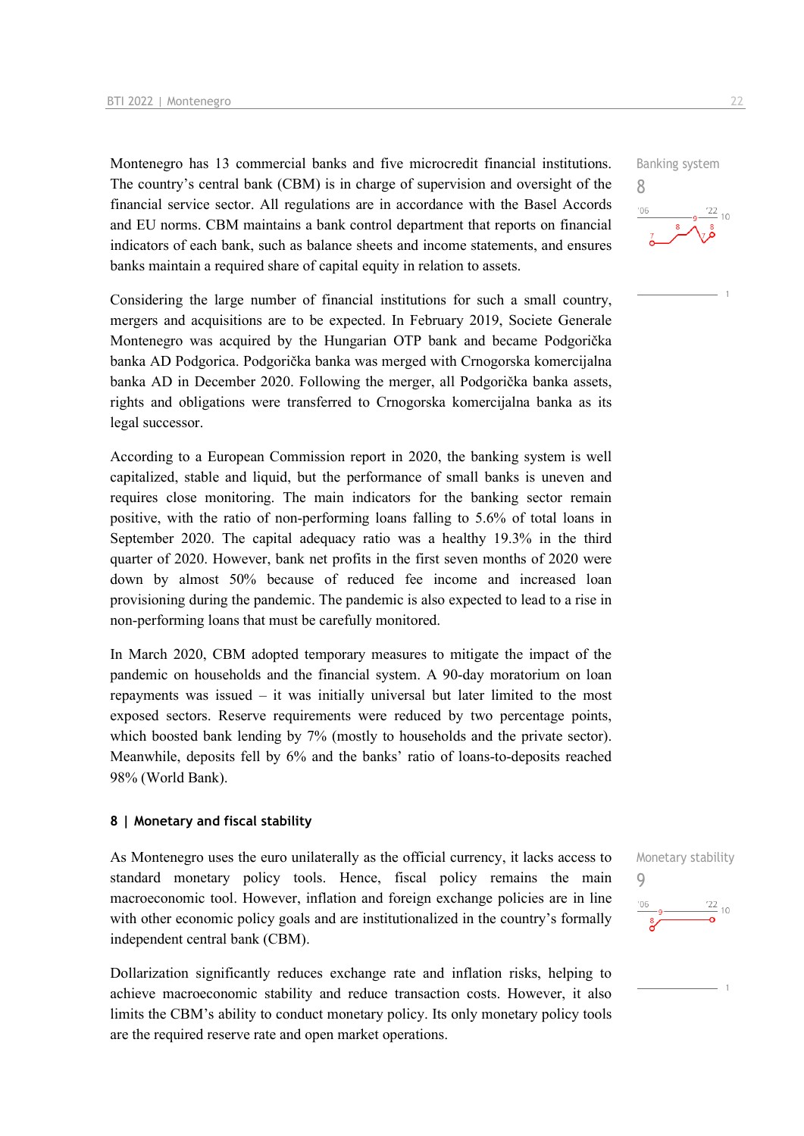Montenegro has 13 commercial banks and five microcredit financial institutions. The country's central bank (CBM) is in charge of supervision and oversight of the financial service sector. All regulations are in accordance with the Basel Accords and EU norms. CBM maintains a bank control department that reports on financial indicators of each bank, such as balance sheets and income statements, and ensures banks maintain a required share of capital equity in relation to assets.

Considering the large number of financial institutions for such a small country, mergers and acquisitions are to be expected. In February 2019, Societe Generale Montenegro was acquired by the Hungarian OTP bank and became Podgorička banka AD Podgorica. Podgorička banka was merged with Crnogorska komercijalna banka AD in December 2020. Following the merger, all Podgorička banka assets, rights and obligations were transferred to Crnogorska komercijalna banka as its legal successor.

According to a European Commission report in 2020, the banking system is well capitalized, stable and liquid, but the performance of small banks is uneven and requires close monitoring. The main indicators for the banking sector remain positive, with the ratio of non-performing loans falling to 5.6% of total loans in September 2020. The capital adequacy ratio was a healthy 19.3% in the third quarter of 2020. However, bank net profits in the first seven months of 2020 were down by almost 50% because of reduced fee income and increased loan provisioning during the pandemic. The pandemic is also expected to lead to a rise in non-performing loans that must be carefully monitored.

In March 2020, CBM adopted temporary measures to mitigate the impact of the pandemic on households and the financial system. A 90-day moratorium on loan repayments was issued – it was initially universal but later limited to the most exposed sectors. Reserve requirements were reduced by two percentage points, which boosted bank lending by 7% (mostly to households and the private sector). Meanwhile, deposits fell by 6% and the banks' ratio of loans-to-deposits reached 98% (World Bank).

#### **8 | Monetary and fiscal stability**

As Montenegro uses the euro unilaterally as the official currency, it lacks access to standard monetary policy tools. Hence, fiscal policy remains the main macroeconomic tool. However, inflation and foreign exchange policies are in line with other economic policy goals and are institutionalized in the country's formally independent central bank (CBM).

Dollarization significantly reduces exchange rate and inflation risks, helping to achieve macroeconomic stability and reduce transaction costs. However, it also limits the CBM's ability to conduct monetary policy. Its only monetary policy tools are the required reserve rate and open market operations.



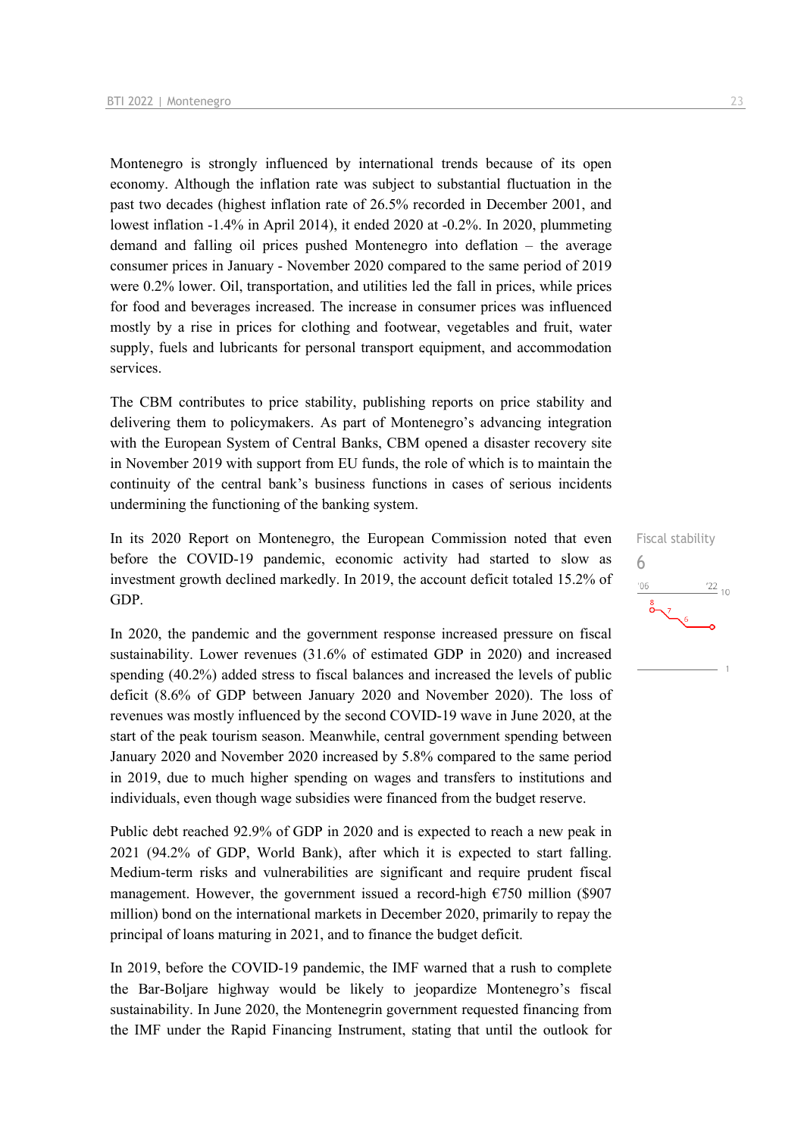Montenegro is strongly influenced by international trends because of its open economy. Although the inflation rate was subject to substantial fluctuation in the past two decades (highest inflation rate of 26.5% recorded in December 2001, and lowest inflation -1.4% in April 2014), it ended 2020 at -0.2%. In 2020, plummeting demand and falling oil prices pushed Montenegro into deflation – the average consumer prices in January - November 2020 compared to the same period of 2019 were 0.2% lower. Oil, transportation, and utilities led the fall in prices, while prices for food and beverages increased. The increase in consumer prices was influenced mostly by a rise in prices for clothing and footwear, vegetables and fruit, water supply, fuels and lubricants for personal transport equipment, and accommodation services.

The CBM contributes to price stability, publishing reports on price stability and delivering them to policymakers. As part of Montenegro's advancing integration with the European System of Central Banks, CBM opened a disaster recovery site in November 2019 with support from EU funds, the role of which is to maintain the continuity of the central bank's business functions in cases of serious incidents undermining the functioning of the banking system.

In its 2020 Report on Montenegro, the European Commission noted that even before the COVID-19 pandemic, economic activity had started to slow as investment growth declined markedly. In 2019, the account deficit totaled 15.2% of GDP.

In 2020, the pandemic and the government response increased pressure on fiscal sustainability. Lower revenues (31.6% of estimated GDP in 2020) and increased spending (40.2%) added stress to fiscal balances and increased the levels of public deficit (8.6% of GDP between January 2020 and November 2020). The loss of revenues was mostly influenced by the second COVID-19 wave in June 2020, at the start of the peak tourism season. Meanwhile, central government spending between January 2020 and November 2020 increased by 5.8% compared to the same period in 2019, due to much higher spending on wages and transfers to institutions and individuals, even though wage subsidies were financed from the budget reserve.

Public debt reached 92.9% of GDP in 2020 and is expected to reach a new peak in 2021 (94.2% of GDP, World Bank), after which it is expected to start falling. Medium-term risks and vulnerabilities are significant and require prudent fiscal management. However, the government issued a record-high  $\epsilon$ 750 million (\$907) million) bond on the international markets in December 2020, primarily to repay the principal of loans maturing in 2021, and to finance the budget deficit.

In 2019, before the COVID-19 pandemic, the IMF warned that a rush to complete the Bar-Boljare highway would be likely to jeopardize Montenegro's fiscal sustainability. In June 2020, the Montenegrin government requested financing from the IMF under the Rapid Financing Instrument, stating that until the outlook for Fiscal stability 6 $\frac{22}{10}$  $^{\prime}$ O $\epsilon$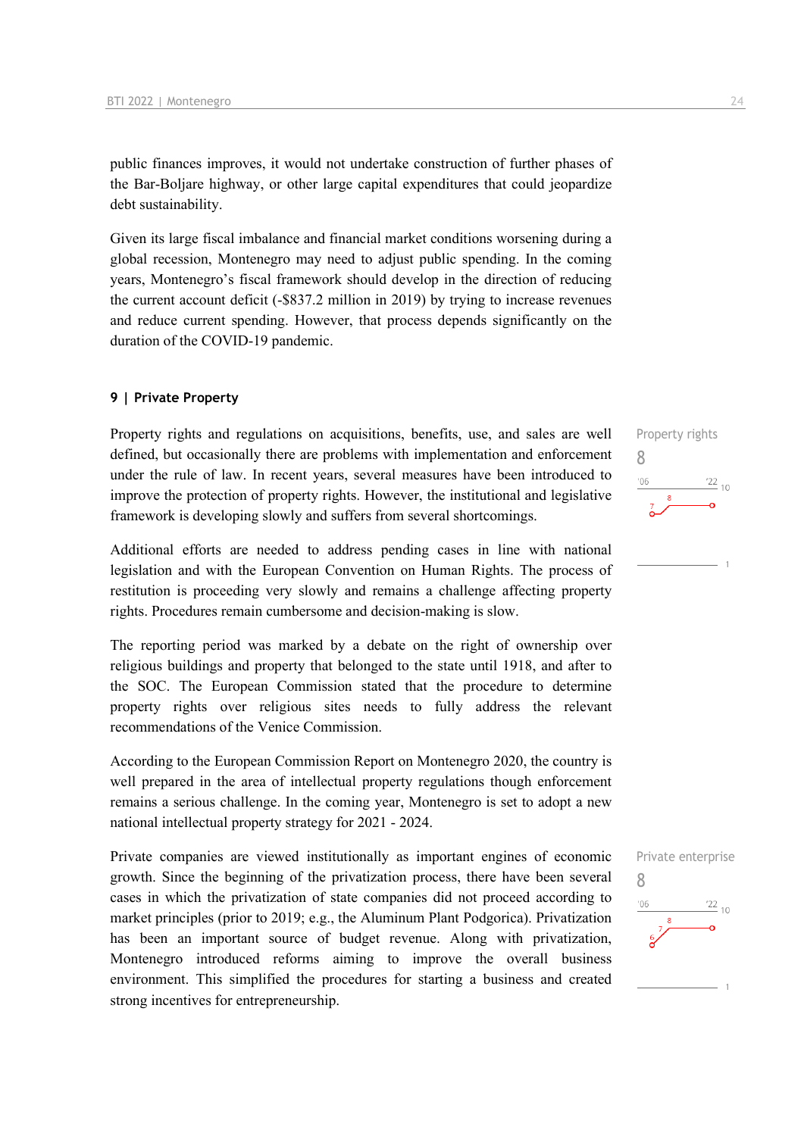public finances improves, it would not undertake construction of further phases of the Bar-Boljare highway, or other large capital expenditures that could jeopardize debt sustainability.

Given its large fiscal imbalance and financial market conditions worsening during a global recession, Montenegro may need to adjust public spending. In the coming years, Montenegro's fiscal framework should develop in the direction of reducing the current account deficit (-\$837.2 million in 2019) by trying to increase revenues and reduce current spending. However, that process depends significantly on the duration of the COVID-19 pandemic.

#### **9 | Private Property**

Property rights and regulations on acquisitions, benefits, use, and sales are well defined, but occasionally there are problems with implementation and enforcement under the rule of law. In recent years, several measures have been introduced to improve the protection of property rights. However, the institutional and legislative framework is developing slowly and suffers from several shortcomings.

Additional efforts are needed to address pending cases in line with national legislation and with the European Convention on Human Rights. The process of restitution is proceeding very slowly and remains a challenge affecting property rights. Procedures remain cumbersome and decision-making is slow.

The reporting period was marked by a debate on the right of ownership over religious buildings and property that belonged to the state until 1918, and after to the SOC. The European Commission stated that the procedure to determine property rights over religious sites needs to fully address the relevant recommendations of the Venice Commission.

According to the European Commission Report on Montenegro 2020, the country is well prepared in the area of intellectual property regulations though enforcement remains a serious challenge. In the coming year, Montenegro is set to adopt a new national intellectual property strategy for 2021 - 2024.

Private companies are viewed institutionally as important engines of economic growth. Since the beginning of the privatization process, there have been several cases in which the privatization of state companies did not proceed according to market principles (prior to 2019; e.g., the Aluminum Plant Podgorica). Privatization has been an important source of budget revenue. Along with privatization, Montenegro introduced reforms aiming to improve the overall business environment. This simplified the procedures for starting a business and created strong incentives for entrepreneurship.



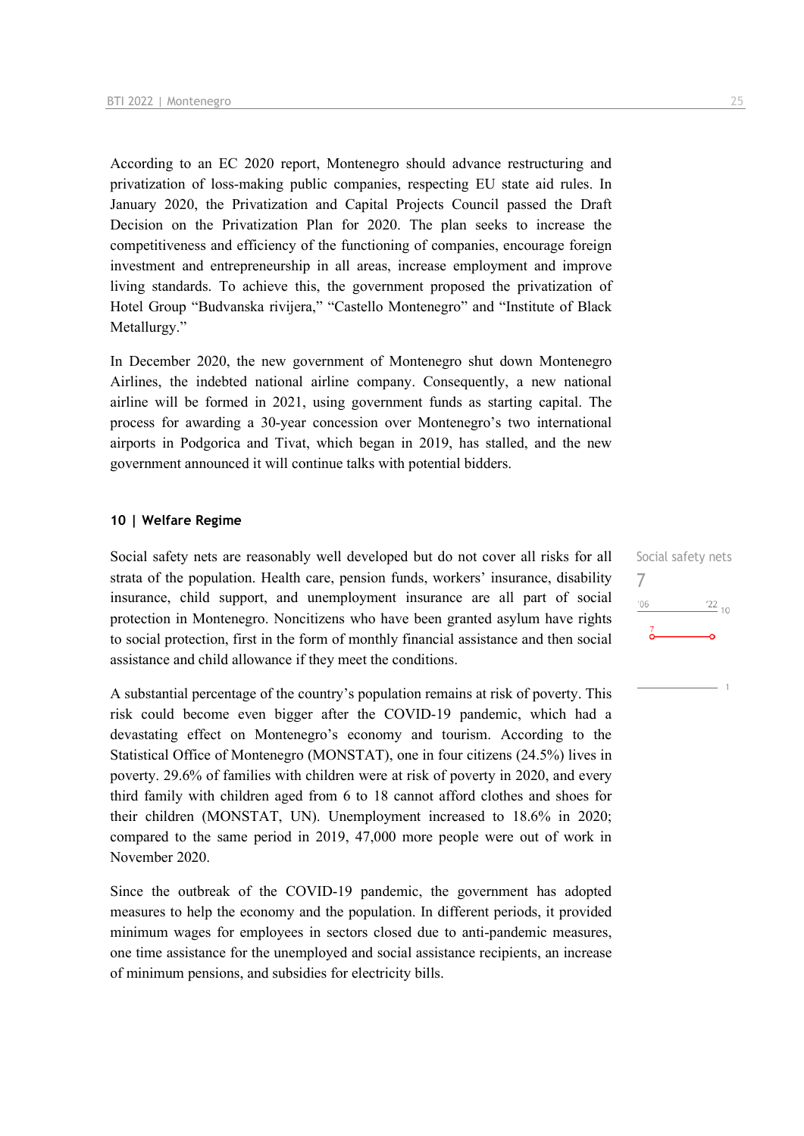According to an EC 2020 report, Montenegro should advance restructuring and privatization of loss-making public companies, respecting EU state aid rules. In January 2020, the Privatization and Capital Projects Council passed the Draft Decision on the Privatization Plan for 2020. The plan seeks to increase the competitiveness and efficiency of the functioning of companies, encourage foreign investment and entrepreneurship in all areas, increase employment and improve living standards. To achieve this, the government proposed the privatization of Hotel Group "Budvanska rivijera," "Castello Montenegro" and "Institute of Black Metallurgy."

In December 2020, the new government of Montenegro shut down Montenegro Airlines, the indebted national airline company. Consequently, a new national airline will be formed in 2021, using government funds as starting capital. The process for awarding a 30-year concession over Montenegro's two international airports in Podgorica and Tivat, which began in 2019, has stalled, and the new government announced it will continue talks with potential bidders.

#### **10 | Welfare Regime**

Social safety nets are reasonably well developed but do not cover all risks for all strata of the population. Health care, pension funds, workers' insurance, disability insurance, child support, and unemployment insurance are all part of social protection in Montenegro. Noncitizens who have been granted asylum have rights to social protection, first in the form of monthly financial assistance and then social assistance and child allowance if they meet the conditions.

A substantial percentage of the country's population remains at risk of poverty. This risk could become even bigger after the COVID-19 pandemic, which had a devastating effect on Montenegro's economy and tourism. According to the Statistical Office of Montenegro (MONSTAT), one in four citizens (24.5%) lives in poverty. 29.6% of families with children were at risk of poverty in 2020, and every third family with children aged from 6 to 18 cannot afford clothes and shoes for their children (MONSTAT, UN). Unemployment increased to 18.6% in 2020; compared to the same period in 2019, 47,000 more people were out of work in November 2020.

Since the outbreak of the COVID-19 pandemic, the government has adopted measures to help the economy and the population. In different periods, it provided minimum wages for employees in sectors closed due to anti-pandemic measures, one time assistance for the unemployed and social assistance recipients, an increase of minimum pensions, and subsidies for electricity bills.

Social safety nets 7 $'06$  $^{22}$  10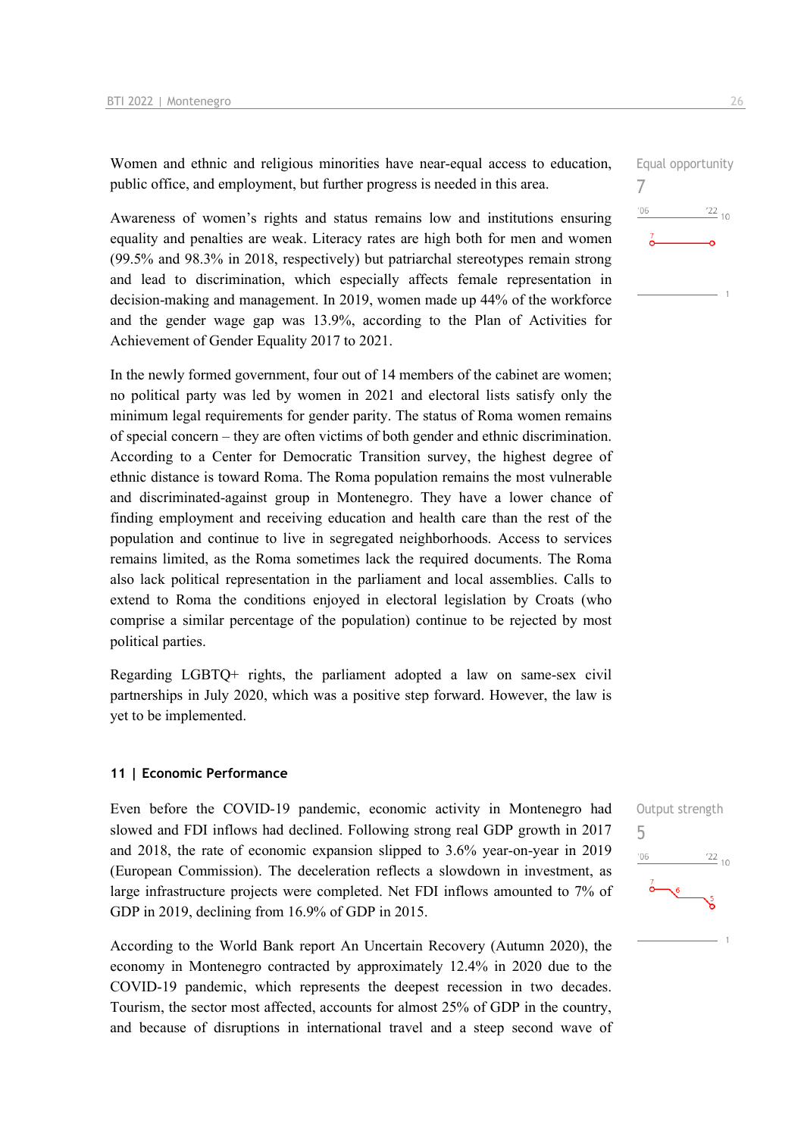Women and ethnic and religious minorities have near-equal access to education, public office, and employment, but further progress is needed in this area.

Awareness of women's rights and status remains low and institutions ensuring equality and penalties are weak. Literacy rates are high both for men and women (99.5% and 98.3% in 2018, respectively) but patriarchal stereotypes remain strong and lead to discrimination, which especially affects female representation in decision-making and management. In 2019, women made up 44% of the workforce and the gender wage gap was 13.9%, according to the Plan of Activities for Achievement of Gender Equality 2017 to 2021.

In the newly formed government, four out of 14 members of the cabinet are women; no political party was led by women in 2021 and electoral lists satisfy only the minimum legal requirements for gender parity. The status of Roma women remains of special concern – they are often victims of both gender and ethnic discrimination. According to a Center for Democratic Transition survey, the highest degree of ethnic distance is toward Roma. The Roma population remains the most vulnerable and discriminated-against group in Montenegro. They have a lower chance of finding employment and receiving education and health care than the rest of the population and continue to live in segregated neighborhoods. Access to services remains limited, as the Roma sometimes lack the required documents. The Roma also lack political representation in the parliament and local assemblies. Calls to extend to Roma the conditions enjoyed in electoral legislation by Croats (who comprise a similar percentage of the population) continue to be rejected by most political parties.

Regarding LGBTQ+ rights, the parliament adopted a law on same-sex civil partnerships in July 2020, which was a positive step forward. However, the law is yet to be implemented.

#### **11 | Economic Performance**

Even before the COVID-19 pandemic, economic activity in Montenegro had slowed and FDI inflows had declined. Following strong real GDP growth in 2017 and 2018, the rate of economic expansion slipped to 3.6% year-on-year in 2019 (European Commission). The deceleration reflects a slowdown in investment, as large infrastructure projects were completed. Net FDI inflows amounted to 7% of GDP in 2019, declining from 16.9% of GDP in 2015.

According to the World Bank report An Uncertain Recovery (Autumn 2020), the economy in Montenegro contracted by approximately 12.4% in 2020 due to the COVID-19 pandemic, which represents the deepest recession in two decades. Tourism, the sector most affected, accounts for almost 25% of GDP in the country, and because of disruptions in international travel and a steep second wave of



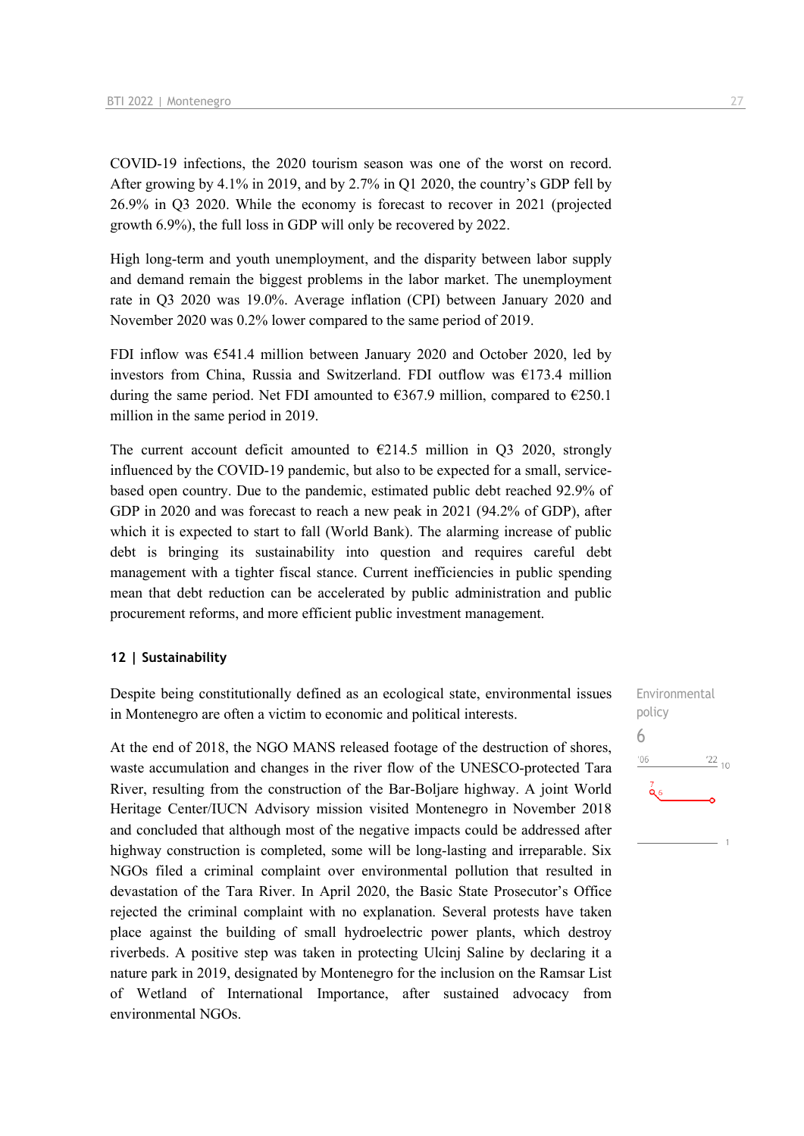COVID-19 infections, the 2020 tourism season was one of the worst on record. After growing by 4.1% in 2019, and by 2.7% in Q1 2020, the country's GDP fell by 26.9% in Q3 2020. While the economy is forecast to recover in 2021 (projected growth 6.9%), the full loss in GDP will only be recovered by 2022.

High long-term and youth unemployment, and the disparity between labor supply and demand remain the biggest problems in the labor market. The unemployment rate in Q3 2020 was 19.0%. Average inflation (CPI) between January 2020 and November 2020 was 0.2% lower compared to the same period of 2019.

FDI inflow was €541.4 million between January 2020 and October 2020, led by investors from China, Russia and Switzerland. FDI outflow was  $E173.4$  million during the same period. Net FDI amounted to  $\epsilon$ 367.9 million, compared to  $\epsilon$ 250.1 million in the same period in 2019.

The current account deficit amounted to  $\epsilon$ 214.5 million in Q3 2020, strongly influenced by the COVID-19 pandemic, but also to be expected for a small, servicebased open country. Due to the pandemic, estimated public debt reached 92.9% of GDP in 2020 and was forecast to reach a new peak in 2021 (94.2% of GDP), after which it is expected to start to fall (World Bank). The alarming increase of public debt is bringing its sustainability into question and requires careful debt management with a tighter fiscal stance. Current inefficiencies in public spending mean that debt reduction can be accelerated by public administration and public procurement reforms, and more efficient public investment management.

#### **12 | Sustainability**

Despite being constitutionally defined as an ecological state, environmental issues in Montenegro are often a victim to economic and political interests.

At the end of 2018, the NGO MANS released footage of the destruction of shores, waste accumulation and changes in the river flow of the UNESCO-protected Tara River, resulting from the construction of the Bar-Boljare highway. A joint World Heritage Center/IUCN Advisory mission visited Montenegro in November 2018 and concluded that although most of the negative impacts could be addressed after highway construction is completed, some will be long-lasting and irreparable. Six NGOs filed a criminal complaint over environmental pollution that resulted in devastation of the Tara River. In April 2020, the Basic State Prosecutor's Office rejected the criminal complaint with no explanation. Several protests have taken place against the building of small hydroelectric power plants, which destroy riverbeds. A positive step was taken in protecting Ulcinj Saline by declaring it a nature park in 2019, designated by Montenegro for the inclusion on the Ramsar List of Wetland of International Importance, after sustained advocacy from environmental NGOs.

Environmental policy 6 $06'$  $\frac{22}{10}$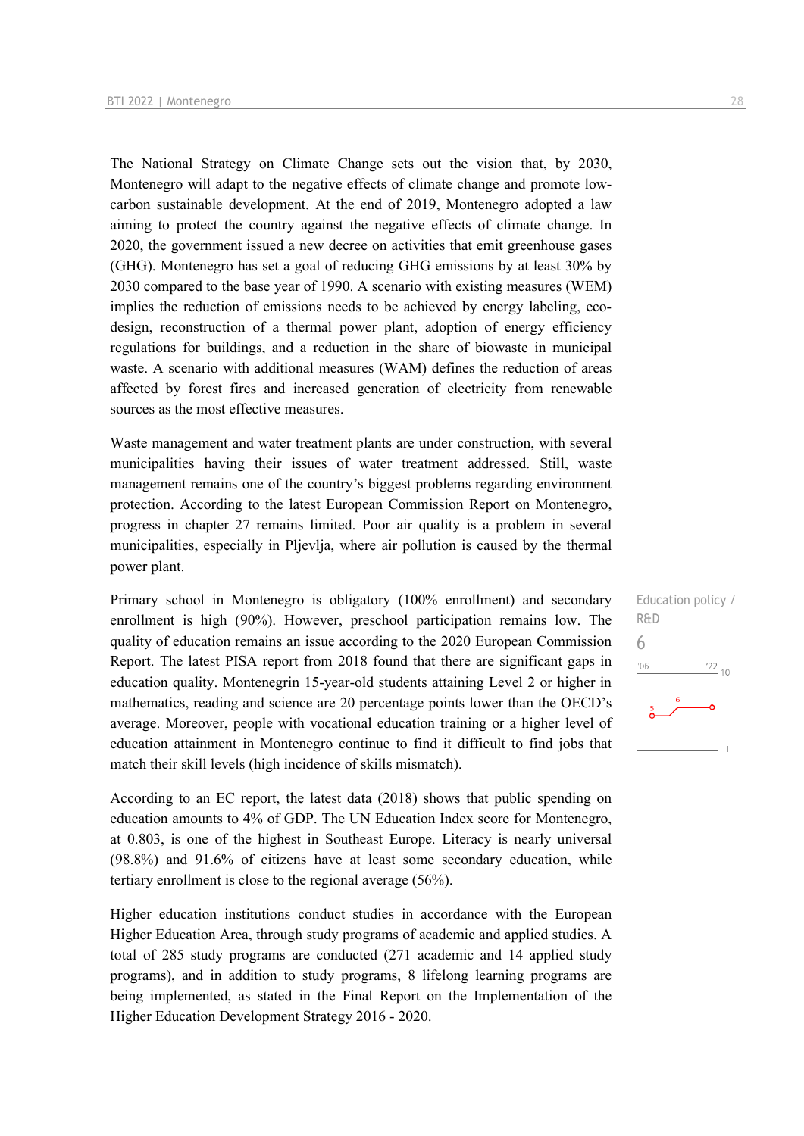The National Strategy on Climate Change sets out the vision that, by 2030, Montenegro will adapt to the negative effects of climate change and promote lowcarbon sustainable development. At the end of 2019, Montenegro adopted a law aiming to protect the country against the negative effects of climate change. In 2020, the government issued a new decree on activities that emit greenhouse gases (GHG). Montenegro has set a goal of reducing GHG emissions by at least 30% by 2030 compared to the base year of 1990. A scenario with existing measures (WEM) implies the reduction of emissions needs to be achieved by energy labeling, ecodesign, reconstruction of a thermal power plant, adoption of energy efficiency regulations for buildings, and a reduction in the share of biowaste in municipal waste. A scenario with additional measures (WAM) defines the reduction of areas affected by forest fires and increased generation of electricity from renewable sources as the most effective measures.

Waste management and water treatment plants are under construction, with several municipalities having their issues of water treatment addressed. Still, waste management remains one of the country's biggest problems regarding environment protection. According to the latest European Commission Report on Montenegro, progress in chapter 27 remains limited. Poor air quality is a problem in several municipalities, especially in Pljevlja, where air pollution is caused by the thermal power plant.

Primary school in Montenegro is obligatory (100% enrollment) and secondary enrollment is high (90%). However, preschool participation remains low. The quality of education remains an issue according to the 2020 European Commission Report. The latest PISA report from 2018 found that there are significant gaps in education quality. Montenegrin 15-year-old students attaining Level 2 or higher in mathematics, reading and science are 20 percentage points lower than the OECD's average. Moreover, people with vocational education training or a higher level of education attainment in Montenegro continue to find it difficult to find jobs that match their skill levels (high incidence of skills mismatch).

According to an EC report, the latest data (2018) shows that public spending on education amounts to 4% of GDP. The UN Education Index score for Montenegro, at 0.803, is one of the highest in Southeast Europe. Literacy is nearly universal (98.8%) and 91.6% of citizens have at least some secondary education, while tertiary enrollment is close to the regional average (56%).

Higher education institutions conduct studies in accordance with the European Higher Education Area, through study programs of academic and applied studies. A total of 285 study programs are conducted (271 academic and 14 applied study programs), and in addition to study programs, 8 lifelong learning programs are being implemented, as stated in the Final Report on the Implementation of the Higher Education Development Strategy 2016 - 2020.

Education policy / R&D 6 $-06$  $\frac{22}{10}$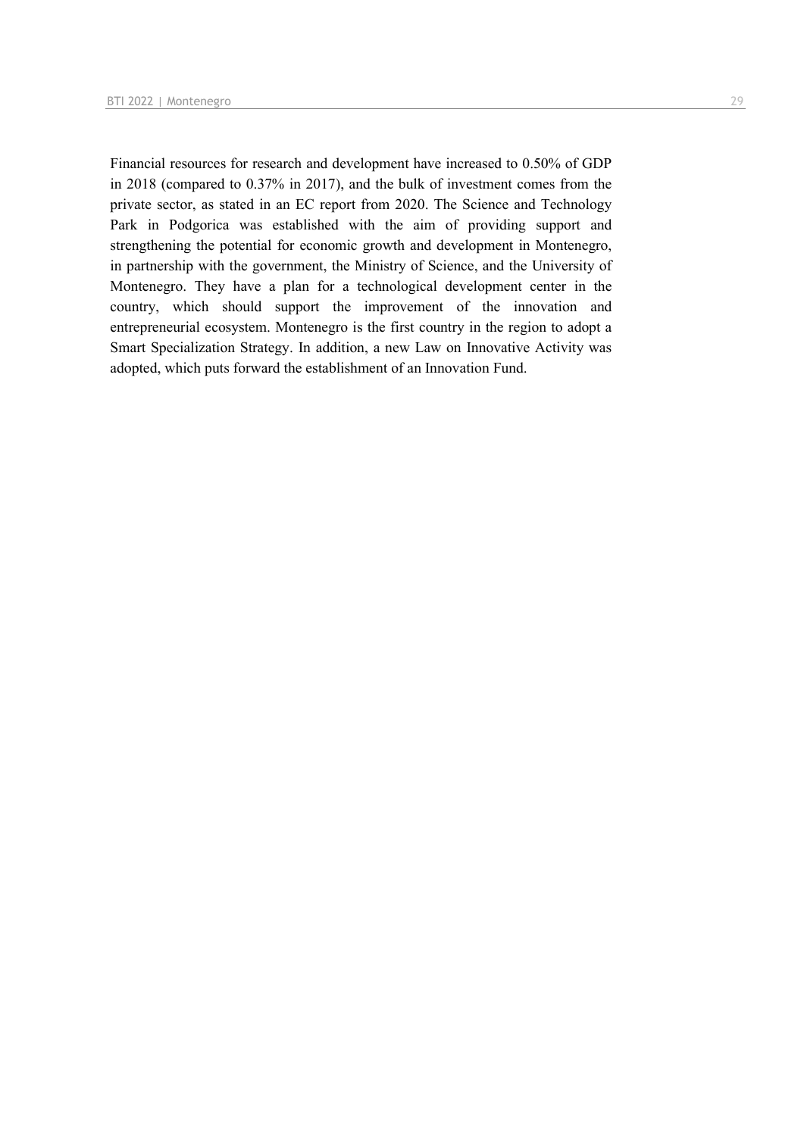Financial resources for research and development have increased to 0.50% of GDP in 2018 (compared to 0.37% in 2017), and the bulk of investment comes from the private sector, as stated in an EC report from 2020. The Science and Technology Park in Podgorica was established with the aim of providing support and strengthening the potential for economic growth and development in Montenegro, in partnership with the government, the Ministry of Science, and the University of Montenegro. They have a plan for a technological development center in the country, which should support the improvement of the innovation and entrepreneurial ecosystem. Montenegro is the first country in the region to adopt a Smart Specialization Strategy. In addition, a new Law on Innovative Activity was adopted, which puts forward the establishment of an Innovation Fund.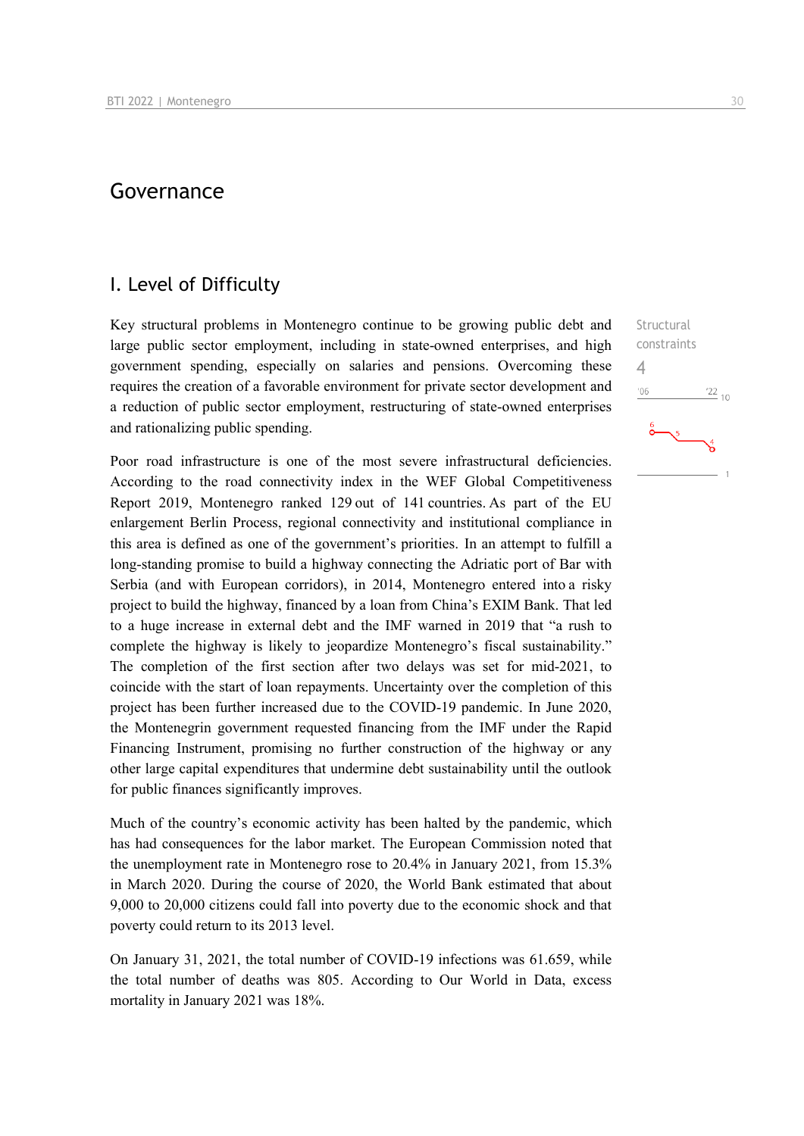## Governance

### I. Level of Difficulty

Key structural problems in Montenegro continue to be growing public debt and large public sector employment, including in state-owned enterprises, and high government spending, especially on salaries and pensions. Overcoming these requires the creation of a favorable environment for private sector development and a reduction of public sector employment, restructuring of state-owned enterprises and rationalizing public spending. 

Poor road infrastructure is one of the most severe infrastructural deficiencies. According to the road connectivity index in the WEF Global Competitiveness Report 2019, Montenegro ranked 129 out of 141 countries. As part of the EU enlargement Berlin Process, regional connectivity and institutional compliance in this area is defined as one of the government's priorities.  In an attempt to fulfill a long-standing promise to build a highway connecting the Adriatic port of Bar with Serbia (and with European corridors), in 2014, Montenegro entered into a risky project to build the highway, financed by a loan from China's EXIM Bank. That led to a huge increase in external debt and the IMF warned in 2019 that "a rush to complete the highway is likely to jeopardize Montenegro's fiscal sustainability." The completion of the first section after two delays was set for mid-2021, to coincide with the start of loan repayments. Uncertainty over the completion of this project has been further increased due to the COVID-19 pandemic. In June 2020, the Montenegrin government requested financing from the IMF under the Rapid Financing Instrument, promising no further construction of the highway or any other large capital expenditures that undermine debt sustainability until the outlook for public finances significantly improves. 

Much of the country's economic activity has been halted by the pandemic, which has had consequences for the labor market. The European Commission noted that the unemployment rate in Montenegro rose to 20.4% in January 2021, from 15.3% in March 2020. During the course of 2020, the World Bank estimated that about 9,000 to 20,000 citizens could fall into poverty due to the economic shock and that poverty could return to its 2013 level.

On January 31, 2021, the total number of COVID-19 infections was 61.659, while the total number of deaths was 805. According to Our World in Data, excess mortality in January 2021 was 18%.

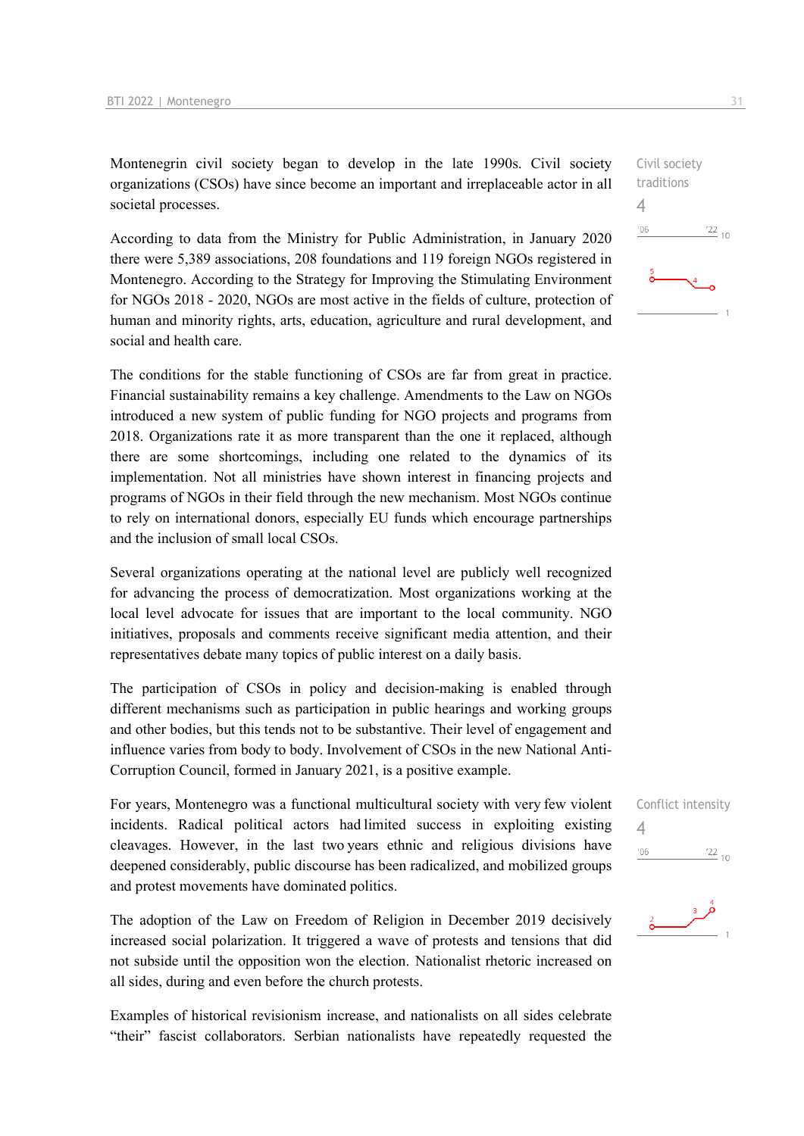Montenegrin civil society began to develop in the late 1990s. Civil society organizations (CSOs) have since become an important and irreplaceable actor in all societal processes.

According to data from the Ministry for Public Administration, in January 2020 there were 5,389 associations, 208 foundations and 119 foreign NGOs registered in Montenegro. According to the Strategy for Improving the Stimulating Environment for NGOs 2018 - 2020, NGOs are most active in the fields of culture, protection of human and minority rights, arts, education, agriculture and rural development, and social and health care.

The conditions for the stable functioning of CSOs are far from great in practice. Financial sustainability remains a key challenge. Amendments to the Law on NGOs introduced a new system of public funding for NGO projects and programs from 2018. Organizations rate it as more transparent than the one it replaced, although there are some shortcomings, including one related to the dynamics of its implementation. Not all ministries have shown interest in financing projects and programs of NGOs in their field through the new mechanism. Most NGOs continue to rely on international donors, especially EU funds which encourage partnerships and the inclusion of small local CSOs.

Several organizations operating at the national level are publicly well recognized for advancing the process of democratization. Most organizations working at the local level advocate for issues that are important to the local community. NGO initiatives, proposals and comments receive significant media attention, and their representatives debate many topics of public interest on a daily basis.

The participation of CSOs in policy and decision-making is enabled through different mechanisms such as participation in public hearings and working groups and other bodies, but this tends not to be substantive. Their level of engagement and influence varies from body to body. Involvement of CSOs in the new National Anti-Corruption Council, formed in January 2021, is a positive example.

For years, Montenegro was a functional multicultural society with very few violent incidents. Radical political actors had limited success in exploiting existing cleavages. However, in the last two years ethnic and religious divisions have deepened considerably, public discourse has been radicalized, and mobilized groups and protest movements have dominated politics. 

The adoption of the Law on Freedom of Religion in December 2019 decisively increased social polarization. It triggered a wave of protests and tensions that did not subside until the opposition won the election.  Nationalist rhetoric increased on all sides, during and even before the church protests.

Examples of historical revisionism increase, and nationalists on all sides celebrate "their" fascist collaborators. Serbian nationalists have repeatedly requested the



|     | Conflict intensity |
|-----|--------------------|
| 4   |                    |
| '06 | $^{22}_{-10}$      |
|     |                    |

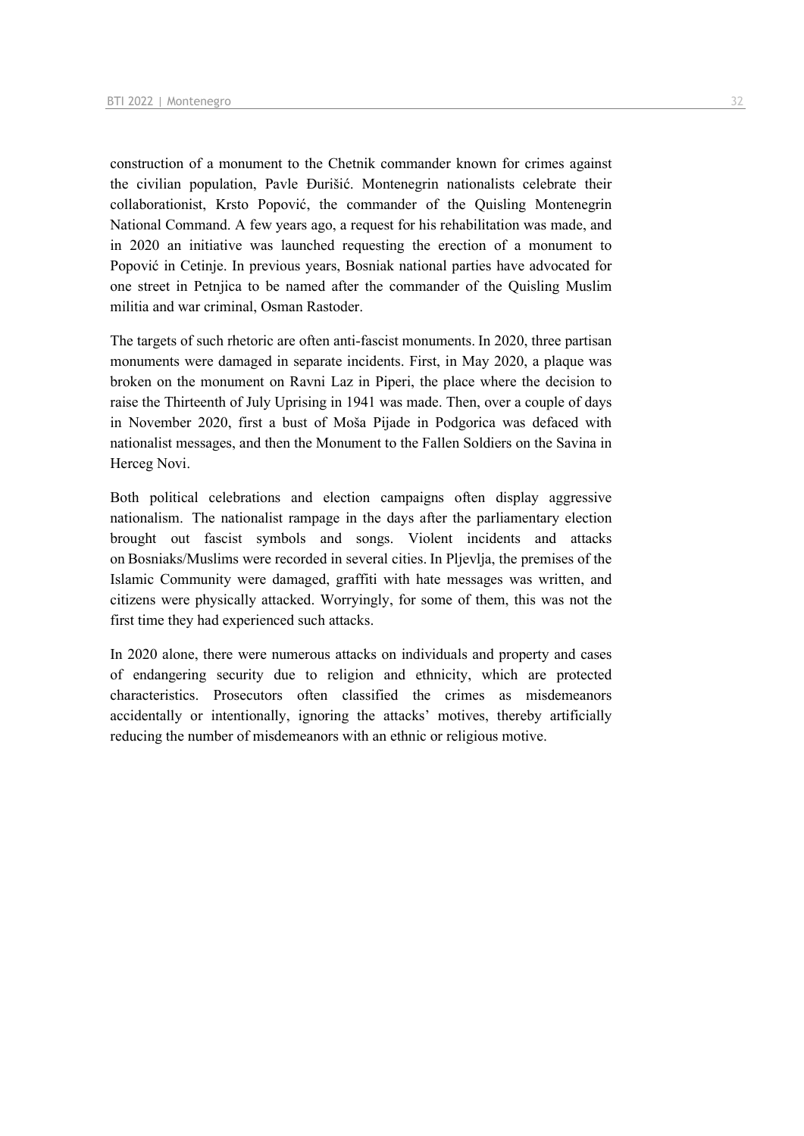construction of a monument to the Chetnik commander known for crimes against the civilian population, Pavle Đurišić. Montenegrin nationalists celebrate their collaborationist, Krsto Popović, the commander of the Quisling Montenegrin National Command. A few years ago, a request for his rehabilitation was made, and in 2020 an initiative was launched requesting the erection of a monument to Popović in Cetinje. In previous years, Bosniak national parties have advocated for one street in Petnjica to be named after the commander of the Quisling Muslim militia and war criminal, Osman Rastoder.

The targets of such rhetoric are often anti-fascist monuments. In 2020, three partisan monuments were damaged in separate incidents. First, in May 2020, a plaque was broken on the monument on Ravni Laz in Piperi, the place where the decision to raise the Thirteenth of July Uprising in 1941 was made. Then, over a couple of days in November 2020, first a bust of Moša Pijade in Podgorica was defaced with nationalist messages, and then the Monument to the Fallen Soldiers on the Savina in Herceg Novi.

Both political celebrations and election campaigns often display aggressive nationalism.  The nationalist rampage in the days after the parliamentary election brought out fascist symbols and songs. Violent incidents and attacks on Bosniaks/Muslims were recorded in several cities. In Pljevlja, the premises of the Islamic Community were damaged, graffiti with hate messages was written, and citizens were physically attacked. Worryingly, for some of them, this was not the first time they had experienced such attacks. 

In 2020 alone, there were numerous attacks on individuals and property and cases of endangering security due to religion and ethnicity, which are protected characteristics. Prosecutors often classified the crimes as misdemeanors accidentally or intentionally, ignoring the attacks' motives, thereby artificially reducing the number of misdemeanors with an ethnic or religious motive.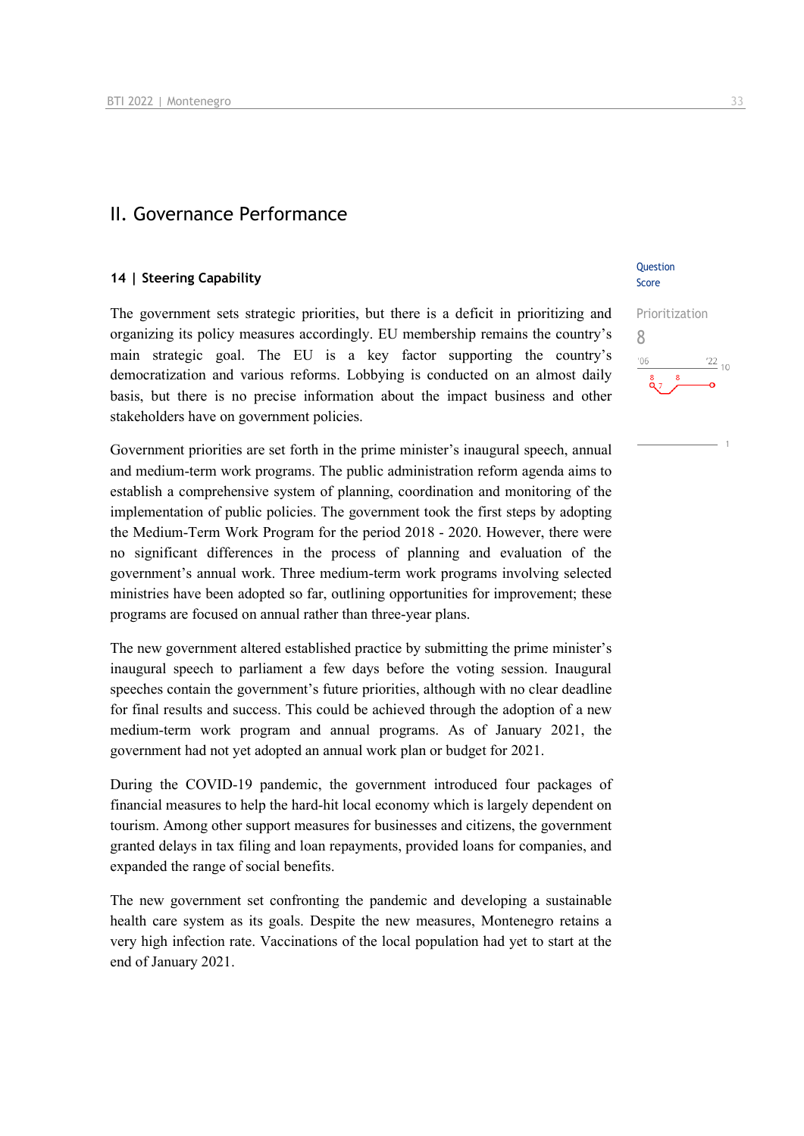## II. Governance Performance

#### **14 | Steering Capability**

The government sets strategic priorities, but there is a deficit in prioritizing and organizing its policy measures accordingly. EU membership remains the country's main strategic goal. The EU is a key factor supporting the country's democratization and various reforms. Lobbying is conducted on an almost daily basis, but there is no precise information about the impact business and other stakeholders have on government policies.

Government priorities are set forth in the prime minister's inaugural speech, annual and medium-term work programs. The public administration reform agenda aims to establish a comprehensive system of planning, coordination and monitoring of the implementation of public policies. The government took the first steps by adopting the Medium-Term Work Program for the period 2018 - 2020. However, there were no significant differences in the process of planning and evaluation of the government's annual work. Three medium-term work programs involving selected ministries have been adopted so far, outlining opportunities for improvement; these programs are focused on annual rather than three-year plans.

The new government altered established practice by submitting the prime minister's inaugural speech to parliament a few days before the voting session. Inaugural speeches contain the government's future priorities, although with no clear deadline for final results and success. This could be achieved through the adoption of a new medium-term work program and annual programs. As of January 2021, the government had not yet adopted an annual work plan or budget for 2021.

During the COVID-19 pandemic, the government introduced four packages of financial measures to help the hard-hit local economy which is largely dependent on tourism. Among other support measures for businesses and citizens, the government granted delays in tax filing and loan repayments, provided loans for companies, and expanded the range of social benefits.

The new government set confronting the pandemic and developing a sustainable health care system as its goals. Despite the new measures, Montenegro retains a very high infection rate. Vaccinations of the local population had yet to start at the end of January 2021.

**Ouestion** Score

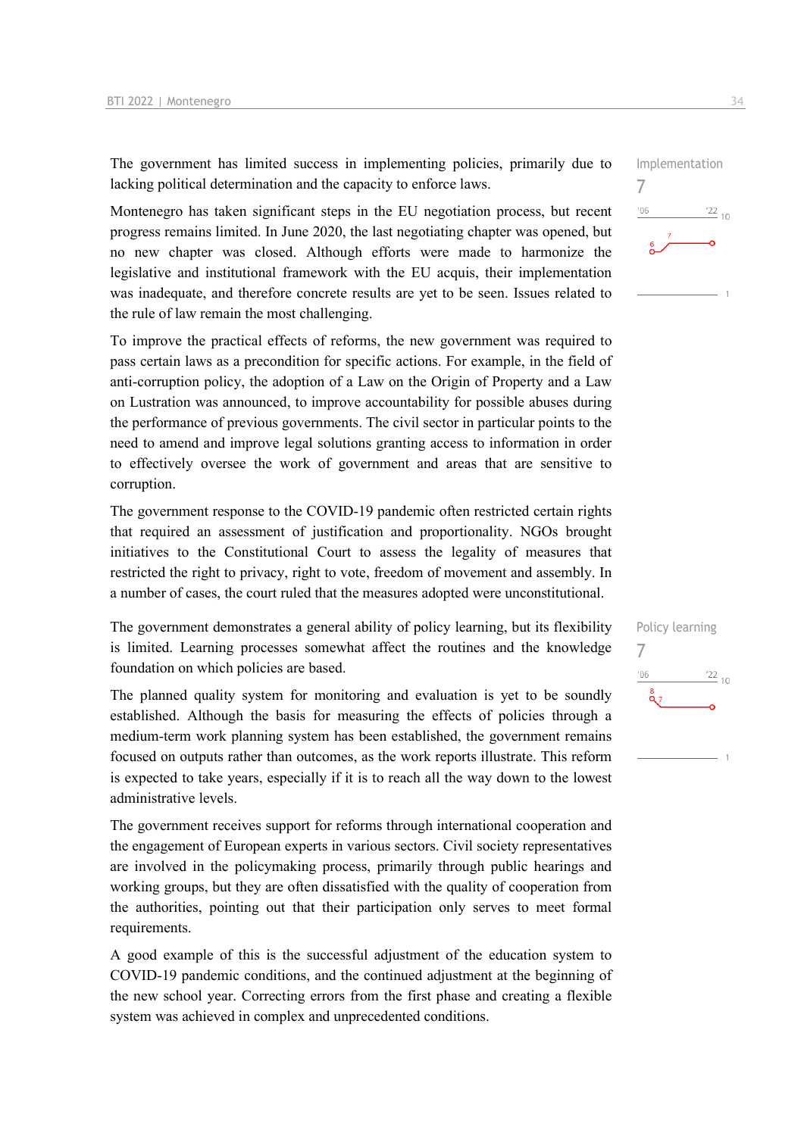The government has limited success in implementing policies, primarily due to lacking political determination and the capacity to enforce laws.

Montenegro has taken significant steps in the EU negotiation process, but recent progress remains limited. In June 2020, the last negotiating chapter was opened, but no new chapter was closed. Although efforts were made to harmonize the legislative and institutional framework with the EU acquis, their implementation was inadequate, and therefore concrete results are yet to be seen. Issues related to the rule of law remain the most challenging.

To improve the practical effects of reforms, the new government was required to pass certain laws as a precondition for specific actions. For example, in the field of anti-corruption policy, the adoption of a Law on the Origin of Property and a Law on Lustration was announced, to improve accountability for possible abuses during the performance of previous governments. The civil sector in particular points to the need to amend and improve legal solutions granting access to information in order to effectively oversee the work of government and areas that are sensitive to corruption.

The government response to the COVID-19 pandemic often restricted certain rights that required an assessment of justification and proportionality. NGOs brought initiatives to the Constitutional Court to assess the legality of measures that restricted the right to privacy, right to vote, freedom of movement and assembly. In a number of cases, the court ruled that the measures adopted were unconstitutional.

The government demonstrates a general ability of policy learning, but its flexibility is limited. Learning processes somewhat affect the routines and the knowledge foundation on which policies are based.

The planned quality system for monitoring and evaluation is yet to be soundly established. Although the basis for measuring the effects of policies through a medium-term work planning system has been established, the government remains focused on outputs rather than outcomes, as the work reports illustrate. This reform is expected to take years, especially if it is to reach all the way down to the lowest administrative levels.

The government receives support for reforms through international cooperation and the engagement of European experts in various sectors. Civil society representatives are involved in the policymaking process, primarily through public hearings and working groups, but they are often dissatisfied with the quality of cooperation from the authorities, pointing out that their participation only serves to meet formal requirements.

A good example of this is the successful adjustment of the education system to COVID-19 pandemic conditions, and the continued adjustment at the beginning of the new school year. Correcting errors from the first phase and creating a flexible system was achieved in complex and unprecedented conditions.



7

 $'06$ 

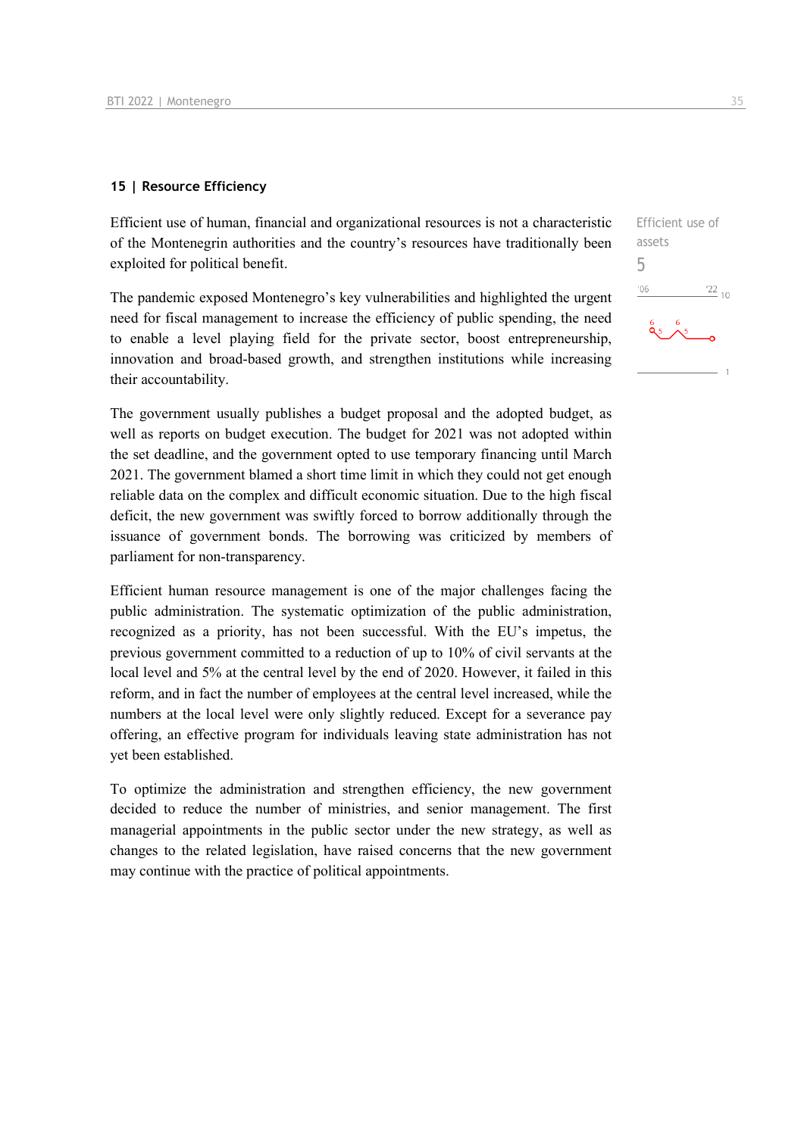#### **15 | Resource Efficiency**

Efficient use of human, financial and organizational resources is not a characteristic of the Montenegrin authorities and the country's resources have traditionally been exploited for political benefit.

The pandemic exposed Montenegro's key vulnerabilities and highlighted the urgent need for fiscal management to increase the efficiency of public spending, the need to enable a level playing field for the private sector, boost entrepreneurship, innovation and broad-based growth, and strengthen institutions while increasing their accountability.

The government usually publishes a budget proposal and the adopted budget, as well as reports on budget execution. The budget for 2021 was not adopted within the set deadline, and the government opted to use temporary financing until March 2021. The government blamed a short time limit in which they could not get enough reliable data on the complex and difficult economic situation. Due to the high fiscal deficit, the new government was swiftly forced to borrow additionally through the issuance of government bonds. The borrowing was criticized by members of parliament for non-transparency.

Efficient human resource management is one of the major challenges facing the public administration. The systematic optimization of the public administration, recognized as a priority, has not been successful. With the EU's impetus, the previous government committed to a reduction of up to 10% of civil servants at the local level and 5% at the central level by the end of 2020. However, it failed in this reform, and in fact the number of employees at the central level increased, while the numbers at the local level were only slightly reduced. Except for a severance pay offering, an effective program for individuals leaving state administration has not yet been established.

To optimize the administration and strengthen efficiency, the new government decided to reduce the number of ministries, and senior management. The first managerial appointments in the public sector under the new strategy, as well as changes to the related legislation, have raised concerns that the new government may continue with the practice of political appointments.

Efficient use of assets 5 $^{\prime}06$  $122_{10}$  $0, 6$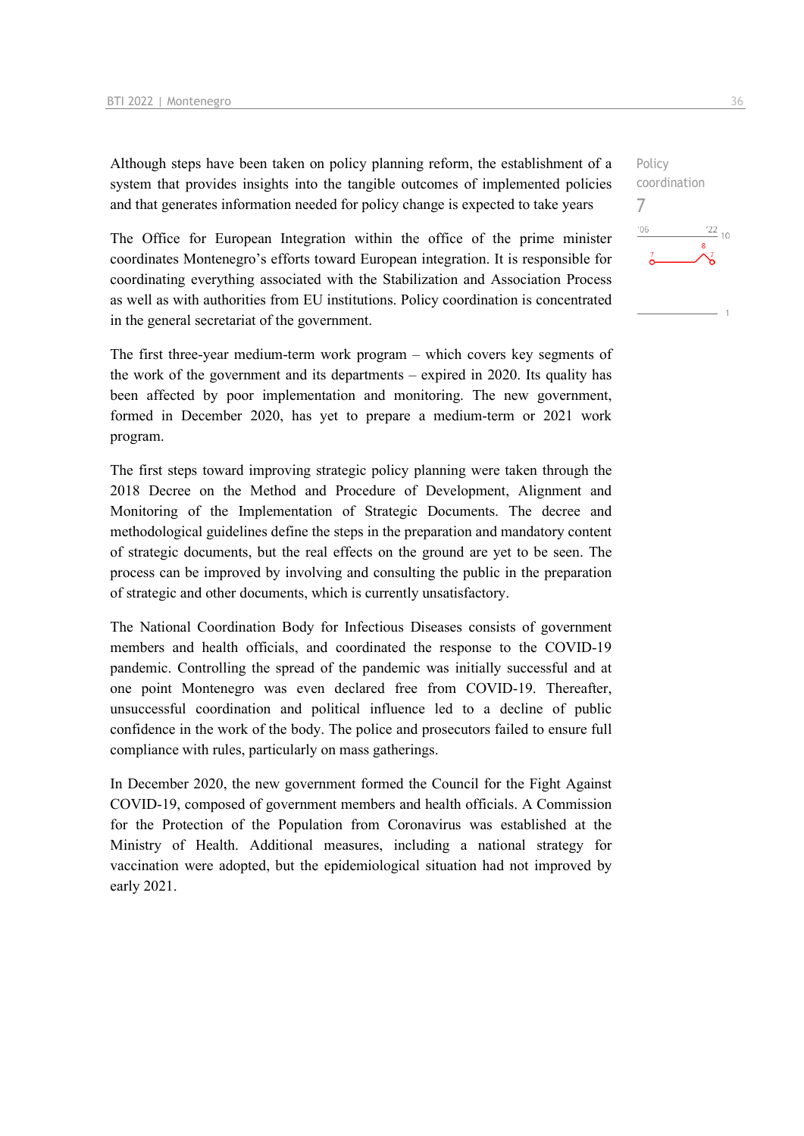Although steps have been taken on policy planning reform, the establishment of a system that provides insights into the tangible outcomes of implemented policies and that generates information needed for policy change is expected to take years

The Office for European Integration within the office of the prime minister coordinates Montenegro's efforts toward European integration. It is responsible for coordinating everything associated with the Stabilization and Association Process as well as with authorities from EU institutions. Policy coordination is concentrated in the general secretariat of the government.

The first three-year medium-term work program – which covers key segments of the work of the government and its departments – expired in 2020. Its quality has been affected by poor implementation and monitoring. The new government, formed in December 2020, has yet to prepare a medium-term or 2021 work program.

The first steps toward improving strategic policy planning were taken through the 2018 Decree on the Method and Procedure of Development, Alignment and Monitoring of the Implementation of Strategic Documents. The decree and methodological guidelines define the steps in the preparation and mandatory content of strategic documents, but the real effects on the ground are yet to be seen. The process can be improved by involving and consulting the public in the preparation of strategic and other documents, which is currently unsatisfactory.

The National Coordination Body for Infectious Diseases consists of government members and health officials, and coordinated the response to the COVID-19 pandemic. Controlling the spread of the pandemic was initially successful and at one point Montenegro was even declared free from COVID-19. Thereafter, unsuccessful coordination and political influence led to a decline of public confidence in the work of the body. The police and prosecutors failed to ensure full compliance with rules, particularly on mass gatherings.

In December 2020, the new government formed the Council for the Fight Against COVID-19, composed of government members and health officials. A Commission for the Protection of the Population from Coronavirus was established at the Ministry of Health. Additional measures, including a national strategy for vaccination were adopted, but the epidemiological situation had not improved by early 2021.

7

 $106$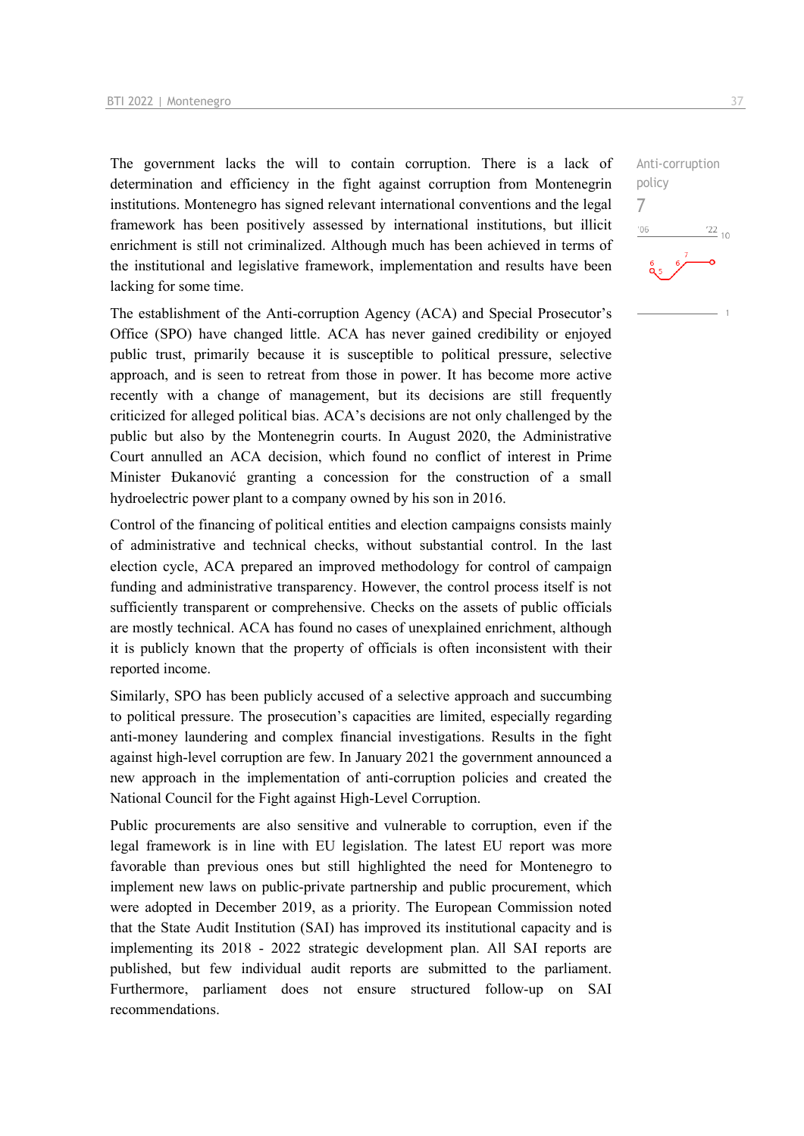The government lacks the will to contain corruption. There is a lack of determination and efficiency in the fight against corruption from Montenegrin institutions. Montenegro has signed relevant international conventions and the legal framework has been positively assessed by international institutions, but illicit enrichment is still not criminalized. Although much has been achieved in terms of the institutional and legislative framework, implementation and results have been lacking for some time.

The establishment of the Anti-corruption Agency (ACA) and Special Prosecutor's Office (SPO) have changed little. ACA has never gained credibility or enjoyed public trust, primarily because it is susceptible to political pressure, selective approach, and is seen to retreat from those in power. It has become more active recently with a change of management, but its decisions are still frequently criticized for alleged political bias. ACA's decisions are not only challenged by the public but also by the Montenegrin courts. In August 2020, the Administrative Court annulled an ACA decision, which found no conflict of interest in Prime Minister Đukanović granting a concession for the construction of a small hydroelectric power plant to a company owned by his son in 2016.

Control of the financing of political entities and election campaigns consists mainly of administrative and technical checks, without substantial control. In the last election cycle, ACA prepared an improved methodology for control of campaign funding and administrative transparency. However, the control process itself is not sufficiently transparent or comprehensive. Checks on the assets of public officials are mostly technical. ACA has found no cases of unexplained enrichment, although it is publicly known that the property of officials is often inconsistent with their reported income.

Similarly, SPO has been publicly accused of a selective approach and succumbing to political pressure. The prosecution's capacities are limited, especially regarding anti-money laundering and complex financial investigations. Results in the fight against high-level corruption are few. In January 2021 the government announced a new approach in the implementation of anti-corruption policies and created the National Council for the Fight against High-Level Corruption.

Public procurements are also sensitive and vulnerable to corruption, even if the legal framework is in line with EU legislation. The latest EU report was more favorable than previous ones but still highlighted the need for Montenegro to implement new laws on public-private partnership and public procurement, which were adopted in December 2019, as a priority. The European Commission noted that the State Audit Institution (SAI) has improved its institutional capacity and is implementing its 2018 - 2022 strategic development plan. All SAI reports are published, but few individual audit reports are submitted to the parliament. Furthermore, parliament does not ensure structured follow-up on SAI recommendations.

 $\frac{22}{10}$ 

Anti-corruption

policy 7 $-06$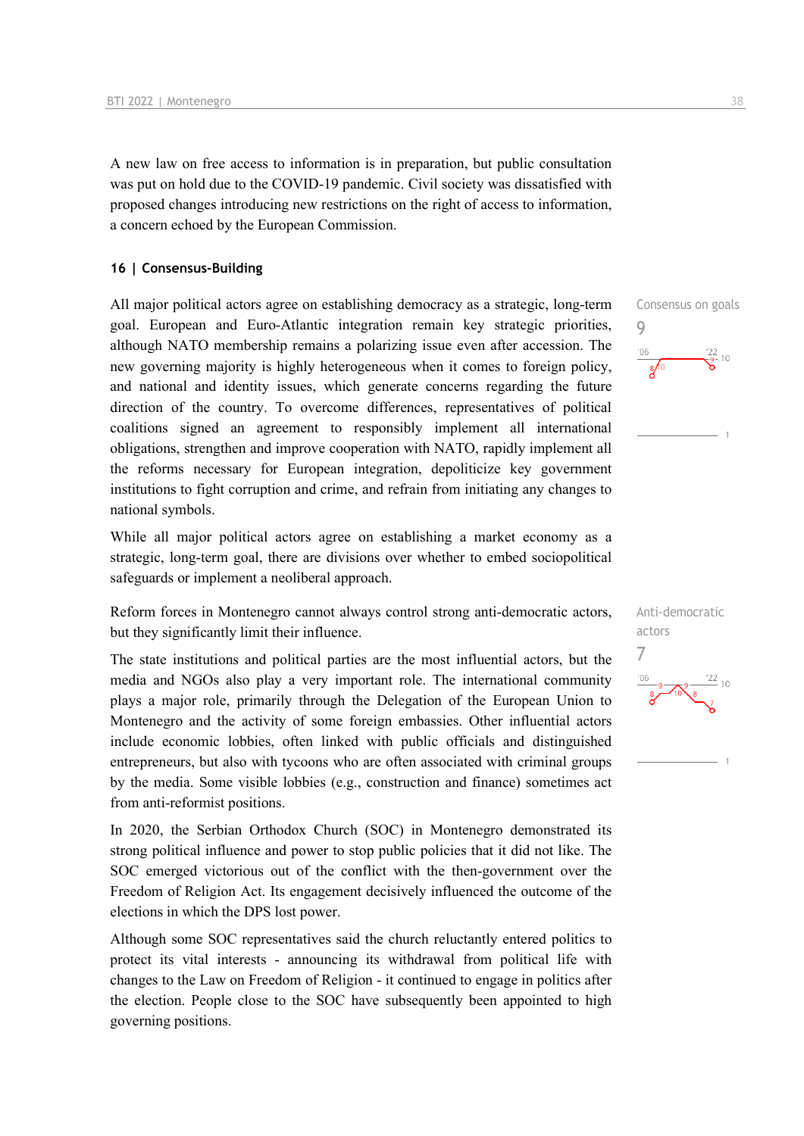A new law on free access to information is in preparation, but public consultation was put on hold due to the COVID-19 pandemic. Civil society was dissatisfied with proposed changes introducing new restrictions on the right of access to information, a concern echoed by the European Commission.

#### **16 | Consensus-Building**

All major political actors agree on establishing democracy as a strategic, long-term goal. European and Euro-Atlantic integration remain key strategic priorities, although NATO membership remains a polarizing issue even after accession. The new governing majority is highly heterogeneous when it comes to foreign policy, and national and identity issues, which generate concerns regarding the future direction of the country. To overcome differences, representatives of political coalitions signed an agreement to responsibly implement all international obligations, strengthen and improve cooperation with NATO, rapidly implement all the reforms necessary for European integration, depoliticize key government institutions to fight corruption and crime, and refrain from initiating any changes to national symbols.

While all major political actors agree on establishing a market economy as a strategic, long-term goal, there are divisions over whether to embed sociopolitical safeguards or implement a neoliberal approach.

Reform forces in Montenegro cannot always control strong anti-democratic actors, but they significantly limit their influence.

The state institutions and political parties are the most influential actors, but the media and NGOs also play a very important role. The international community plays a major role, primarily through the Delegation of the European Union to Montenegro and the activity of some foreign embassies. Other influential actors include economic lobbies, often linked with public officials and distinguished entrepreneurs, but also with tycoons who are often associated with criminal groups by the media. Some visible lobbies (e.g., construction and finance) sometimes act from anti-reformist positions.

In 2020, the Serbian Orthodox Church (SOC) in Montenegro demonstrated its strong political influence and power to stop public policies that it did not like. The SOC emerged victorious out of the conflict with the then-government over the Freedom of Religion Act. Its engagement decisively influenced the outcome of the elections in which the DPS lost power.

Although some SOC representatives said the church reluctantly entered politics to protect its vital interests - announcing its withdrawal from political life with changes to the Law on Freedom of Religion - it continued to engage in politics after the election. People close to the SOC have subsequently been appointed to high governing positions.





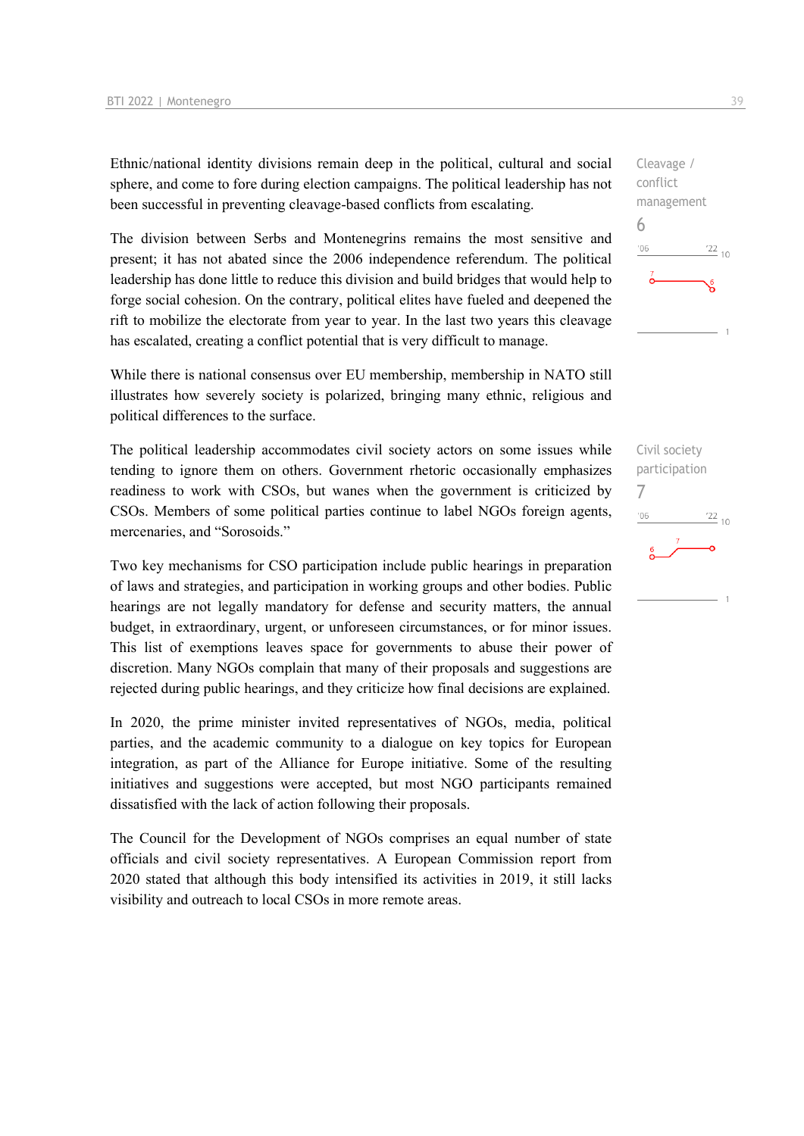Ethnic/national identity divisions remain deep in the political, cultural and social sphere, and come to fore during election campaigns. The political leadership has not been successful in preventing cleavage-based conflicts from escalating.

The division between Serbs and Montenegrins remains the most sensitive and present; it has not abated since the 2006 independence referendum. The political leadership has done little to reduce this division and build bridges that would help to forge social cohesion. On the contrary, political elites have fueled and deepened the rift to mobilize the electorate from year to year. In the last two years this cleavage has escalated, creating a conflict potential that is very difficult to manage.

While there is national consensus over EU membership, membership in NATO still illustrates how severely society is polarized, bringing many ethnic, religious and political differences to the surface.

The political leadership accommodates civil society actors on some issues while tending to ignore them on others. Government rhetoric occasionally emphasizes readiness to work with CSOs, but wanes when the government is criticized by CSOs. Members of some political parties continue to label NGOs foreign agents, mercenaries, and "Sorosoids."

Two key mechanisms for CSO participation include public hearings in preparation of laws and strategies, and participation in working groups and other bodies. Public hearings are not legally mandatory for defense and security matters, the annual budget, in extraordinary, urgent, or unforeseen circumstances, or for minor issues. This list of exemptions leaves space for governments to abuse their power of discretion. Many NGOs complain that many of their proposals and suggestions are rejected during public hearings, and they criticize how final decisions are explained.

In 2020, the prime minister invited representatives of NGOs, media, political parties, and the academic community to a dialogue on key topics for European integration, as part of the Alliance for Europe initiative. Some of the resulting initiatives and suggestions were accepted, but most NGO participants remained dissatisfied with the lack of action following their proposals.

The Council for the Development of NGOs comprises an equal number of state officials and civil society representatives. A European Commission report from 2020 stated that although this body intensified its activities in 2019, it still lacks visibility and outreach to local CSOs in more remote areas.



Civil society participation 7 $-06$  $\frac{22}{10}$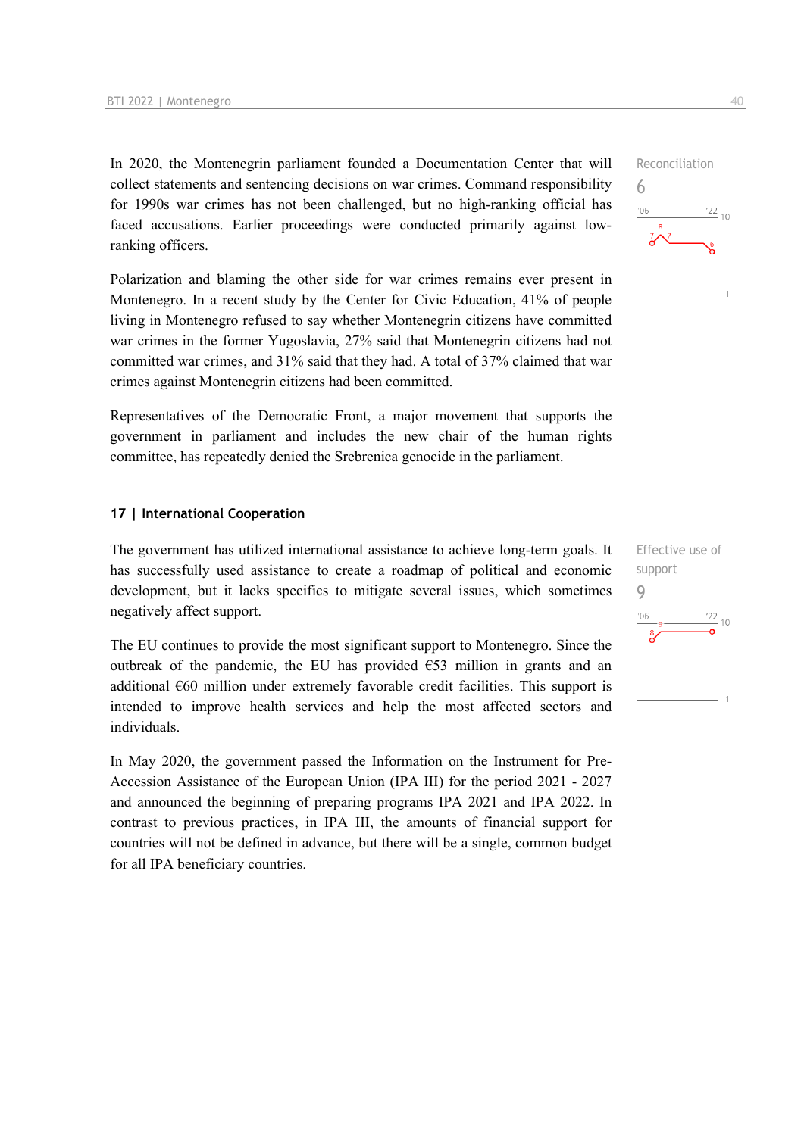In 2020, the Montenegrin parliament founded a Documentation Center that will collect statements and sentencing decisions on war crimes. Command responsibility for 1990s war crimes has not been challenged, but no high-ranking official has faced accusations. Earlier proceedings were conducted primarily against lowranking officers.

Polarization and blaming the other side for war crimes remains ever present in Montenegro. In a recent study by the Center for Civic Education, 41% of people living in Montenegro refused to say whether Montenegrin citizens have committed war crimes in the former Yugoslavia, 27% said that Montenegrin citizens had not committed war crimes, and 31% said that they had. A total of 37% claimed that war crimes against Montenegrin citizens had been committed.

Representatives of the Democratic Front, a major movement that supports the government in parliament and includes the new chair of the human rights committee, has repeatedly denied the Srebrenica genocide in the parliament.

#### **17 | International Cooperation**

The government has utilized international assistance to achieve long-term goals. It has successfully used assistance to create a roadmap of political and economic development, but it lacks specifics to mitigate several issues, which sometimes negatively affect support.

The EU continues to provide the most significant support to Montenegro. Since the outbreak of the pandemic, the EU has provided  $\epsilon$ 53 million in grants and an additional €60 million under extremely favorable credit facilities. This support is intended to improve health services and help the most affected sectors and individuals.

In May 2020, the government passed the Information on the Instrument for Pre-Accession Assistance of the European Union (IPA III) for the period 2021 - 2027 and announced the beginning of preparing programs IPA 2021 and IPA 2022. In contrast to previous practices, in IPA III, the amounts of financial support for countries will not be defined in advance, but there will be a single, common budget for all IPA beneficiary countries.

Reconciliation 6  $06'$  $\frac{22}{10}$ 

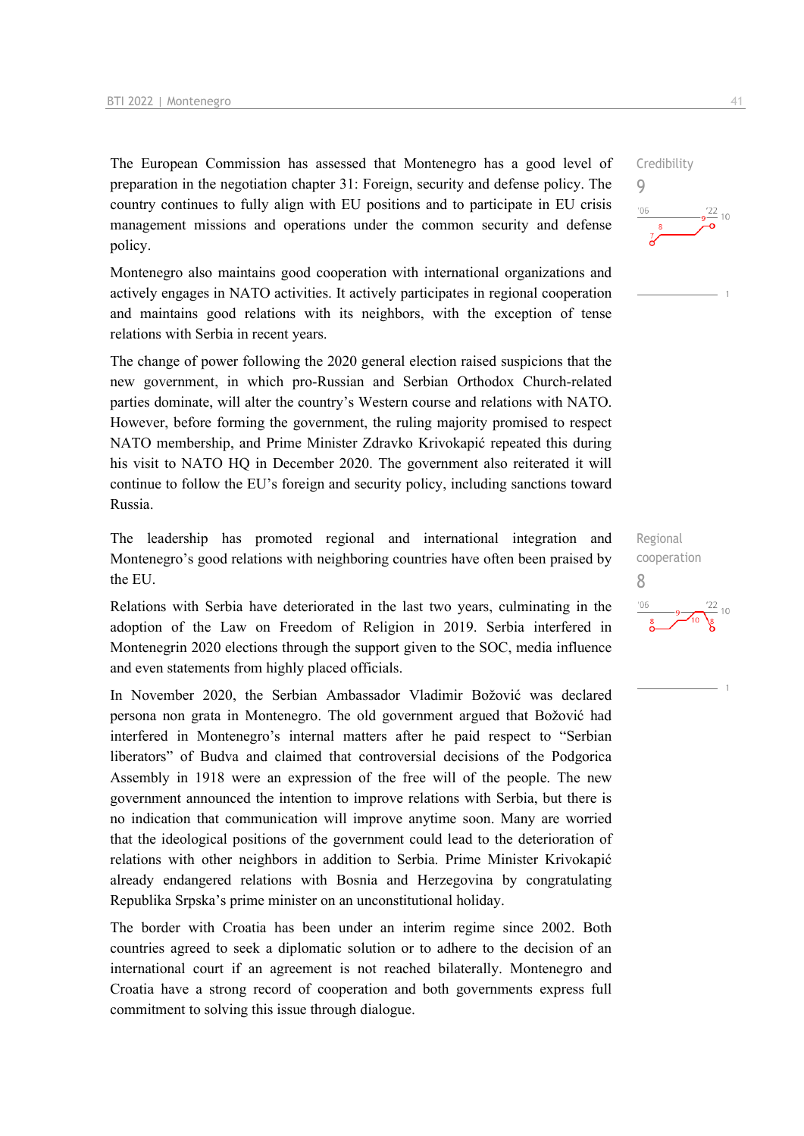The European Commission has assessed that Montenegro has a good level of preparation in the negotiation chapter 31: Foreign, security and defense policy. The country continues to fully align with EU positions and to participate in EU crisis management missions and operations under the common security and defense policy.

Montenegro also maintains good cooperation with international organizations and actively engages in NATO activities. It actively participates in regional cooperation and maintains good relations with its neighbors, with the exception of tense relations with Serbia in recent years.

The change of power following the 2020 general election raised suspicions that the new government, in which pro-Russian and Serbian Orthodox Church-related parties dominate, will alter the country's Western course and relations with NATO. However, before forming the government, the ruling majority promised to respect NATO membership, and Prime Minister Zdravko Krivokapić repeated this during his visit to NATO HQ in December 2020. The government also reiterated it will continue to follow the EU's foreign and security policy, including sanctions toward Russia.

The leadership has promoted regional and international integration and Montenegro's good relations with neighboring countries have often been praised by the EU.

Relations with Serbia have deteriorated in the last two years, culminating in the adoption of the Law on Freedom of Religion in 2019. Serbia interfered in Montenegrin 2020 elections through the support given to the SOC, media influence and even statements from highly placed officials.

In November 2020, the Serbian Ambassador Vladimir Božović was declared persona non grata in Montenegro. The old government argued that Božović had interfered in Montenegro's internal matters after he paid respect to "Serbian liberators" of Budva and claimed that controversial decisions of the Podgorica Assembly in 1918 were an expression of the free will of the people. The new government announced the intention to improve relations with Serbia, but there is no indication that communication will improve anytime soon. Many are worried that the ideological positions of the government could lead to the deterioration of relations with other neighbors in addition to Serbia. Prime Minister Krivokapić already endangered relations with Bosnia and Herzegovina by congratulating Republika Srpska's prime minister on an unconstitutional holiday.

The border with Croatia has been under an interim regime since 2002. Both countries agreed to seek a diplomatic solution or to adhere to the decision of an international court if an agreement is not reached bilaterally. Montenegro and Croatia have a strong record of cooperation and both governments express full commitment to solving this issue through dialogue.

8



9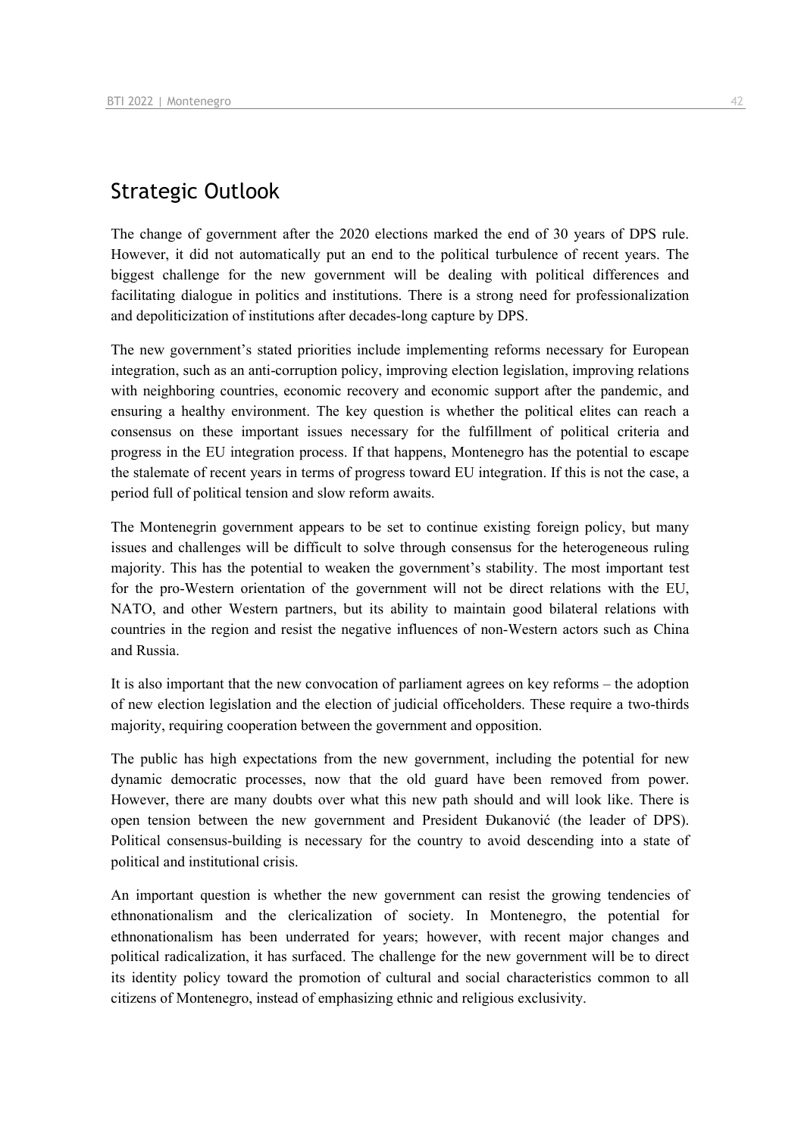# Strategic Outlook

The change of government after the 2020 elections marked the end of 30 years of DPS rule. However, it did not automatically put an end to the political turbulence of recent years. The biggest challenge for the new government will be dealing with political differences and facilitating dialogue in politics and institutions. There is a strong need for professionalization and depoliticization of institutions after decades-long capture by DPS.

The new government's stated priorities include implementing reforms necessary for European integration, such as an anti-corruption policy, improving election legislation, improving relations with neighboring countries, economic recovery and economic support after the pandemic, and ensuring a healthy environment. The key question is whether the political elites can reach a consensus on these important issues necessary for the fulfillment of political criteria and progress in the EU integration process. If that happens, Montenegro has the potential to escape the stalemate of recent years in terms of progress toward EU integration. If this is not the case, a period full of political tension and slow reform awaits.

The Montenegrin government appears to be set to continue existing foreign policy, but many issues and challenges will be difficult to solve through consensus for the heterogeneous ruling majority. This has the potential to weaken the government's stability. The most important test for the pro-Western orientation of the government will not be direct relations with the EU, NATO, and other Western partners, but its ability to maintain good bilateral relations with countries in the region and resist the negative influences of non-Western actors such as China and Russia.

It is also important that the new convocation of parliament agrees on key reforms – the adoption of new election legislation and the election of judicial officeholders. These require a two-thirds majority, requiring cooperation between the government and opposition.

The public has high expectations from the new government, including the potential for new dynamic democratic processes, now that the old guard have been removed from power. However, there are many doubts over what this new path should and will look like. There is open tension between the new government and President Đukanović (the leader of DPS). Political consensus-building is necessary for the country to avoid descending into a state of political and institutional crisis.

An important question is whether the new government can resist the growing tendencies of ethnonationalism and the clericalization of society. In Montenegro, the potential for ethnonationalism has been underrated for years; however, with recent major changes and political radicalization, it has surfaced. The challenge for the new government will be to direct its identity policy toward the promotion of cultural and social characteristics common to all citizens of Montenegro, instead of emphasizing ethnic and religious exclusivity.